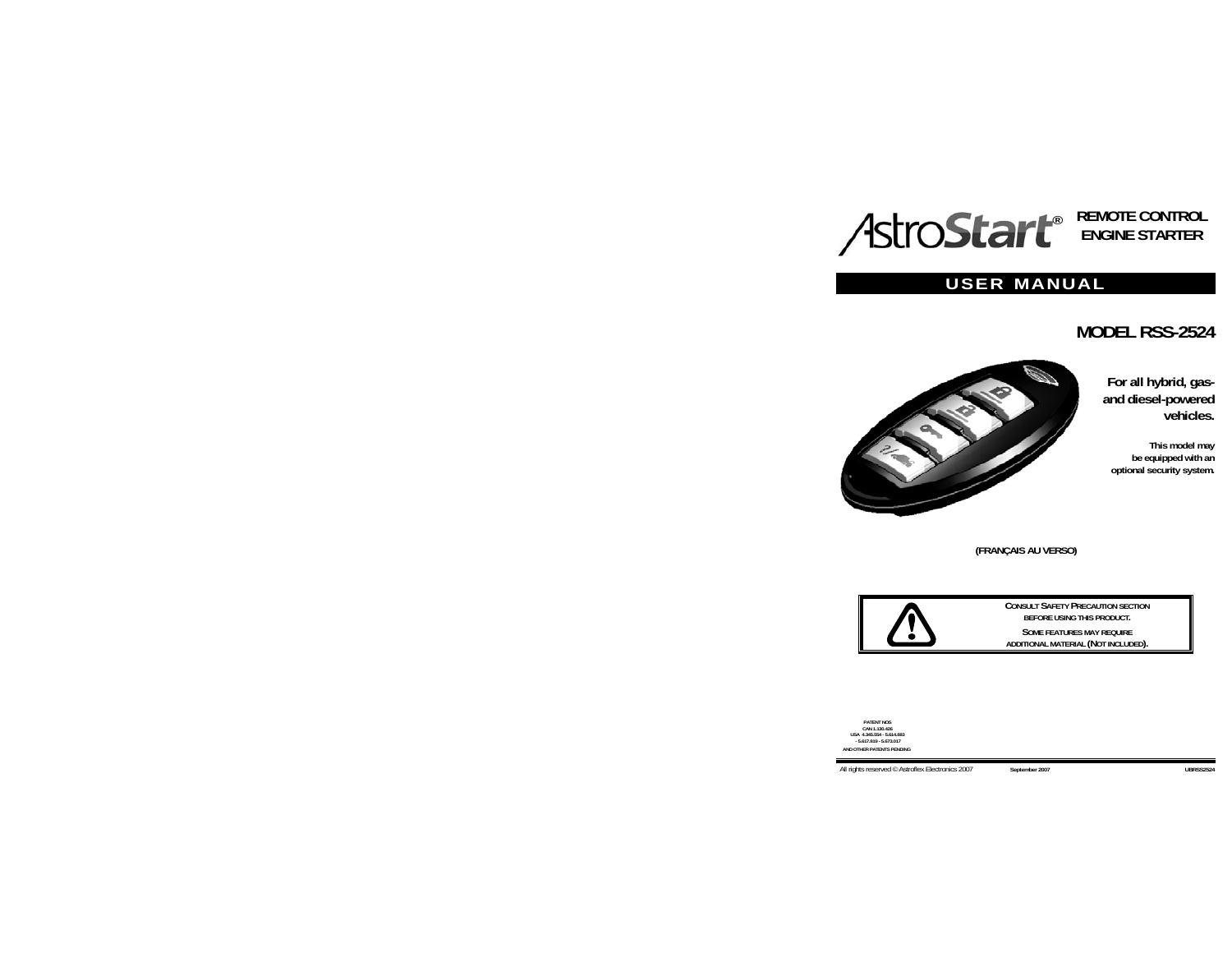# **® REMOTE CONTROL ENGINE STARTER**

# **USER MANUAL**

# **MODEL RSS-2524**



**For all hybrid, gasand diesel-powered vehicles.** 

**This model may be equipped with an optional security system.** 

**(FRANÇAIS AU VERSO)** 



**CONSULT SAFETY PRECAUTION SECTION BEFORE USING THIS PRODUCT. SOME FEATURES MAY REQUIRE ADDITIONAL MATERIAL (NOT INCLUDED).** 

**PATENT NOS CAN 1.130.426 USA 4.345.554 - 5.614.883 - 5.617.819 - 5.673.017 HER PATENTS PENDING**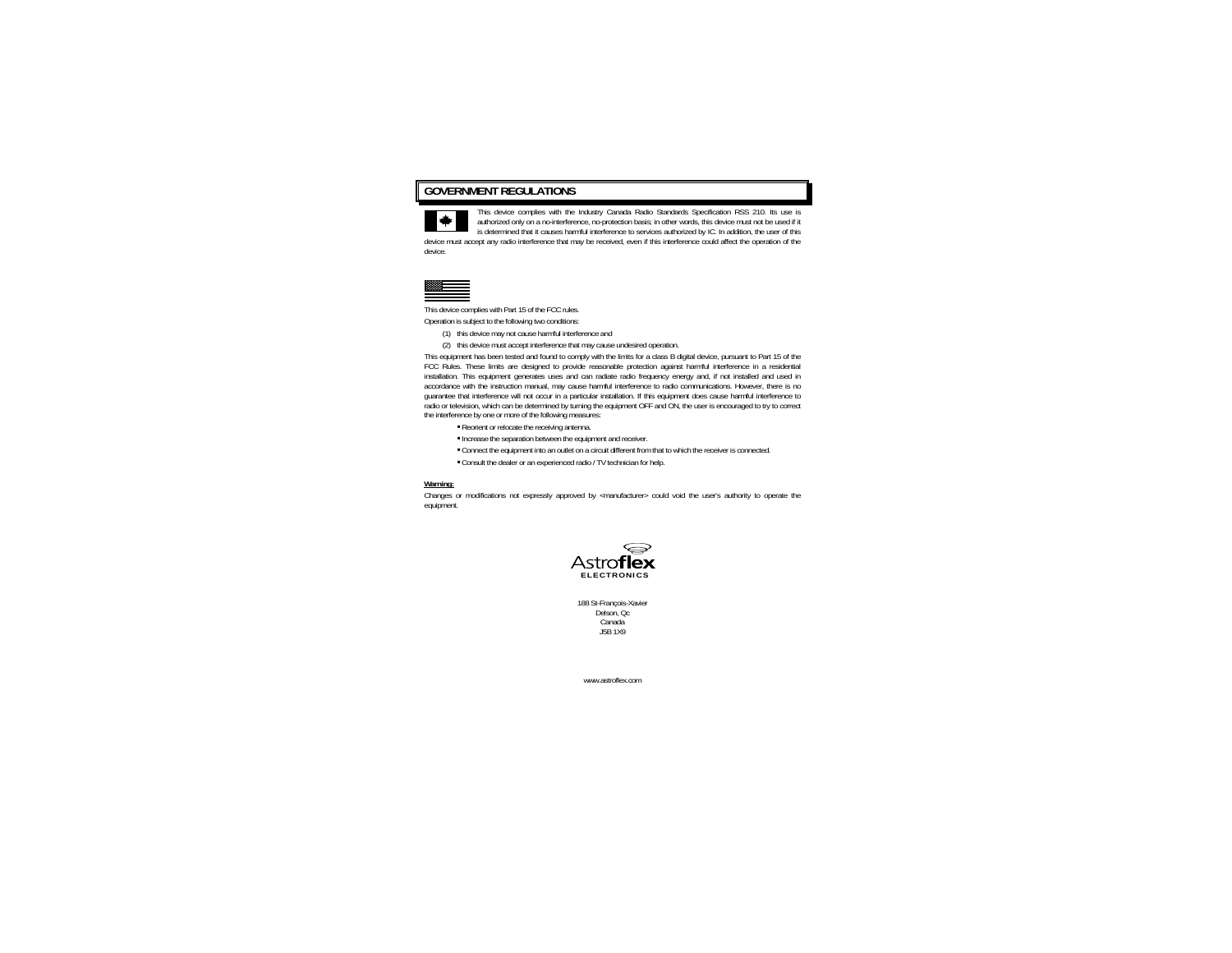## **GOVERNMENT REGULATIONS**



This device complies with the Industry Canada Radio Standards Specification RSS 210. Its use is authorized only on a no-interference, no-protection basis; in other words, this device must not be used if it is determined that it causes harmful interference to services authorized by IC. In addition, the user of this

device must accept any radio interference that may be received, even if this interference could affect the operation of the device.



This device complies with Part 15 of the FCC rules.

Operation is subject to the following two conditions:

- (1) this device may not cause harmful interference and
- (2) this device must accept interference that may cause undesired operation.

This equipment has been tested and found to comply with the limits for a class B digital device, pursuant to Part 15 of the FCC Rules. These limits are designed to provide reasonable protection against harmful interference in a residential installation. This equipment generates uses and can radiate radio frequency energy and, if not installed and used in accordance with the instruction manual, may cause harmful interference to radio communications. However, there is no guarantee that interference will not occur in a particular installation. If this equipment does cause harmful interference to radio or television, which can be determined by turning the equipment OFF and ON, the user is encouraged to try to correct the interference by one or more of the following measures:

- Reorient or relocate the receiving antenna.
- Increase the separation between the equipment and receiver.
- Connect the equipment into an outlet on a circuit different from that to which the receiver is connected.
- Consult the dealer or an experienced radio / TV technician for help.

#### **Warning:**

Changes or modifications not expressly approved by <manufacturer> could void the user's authority to operate the equipment.



188 St-François-Xavier Delson, Qc Canada J5B 1X9

www.astroflex.com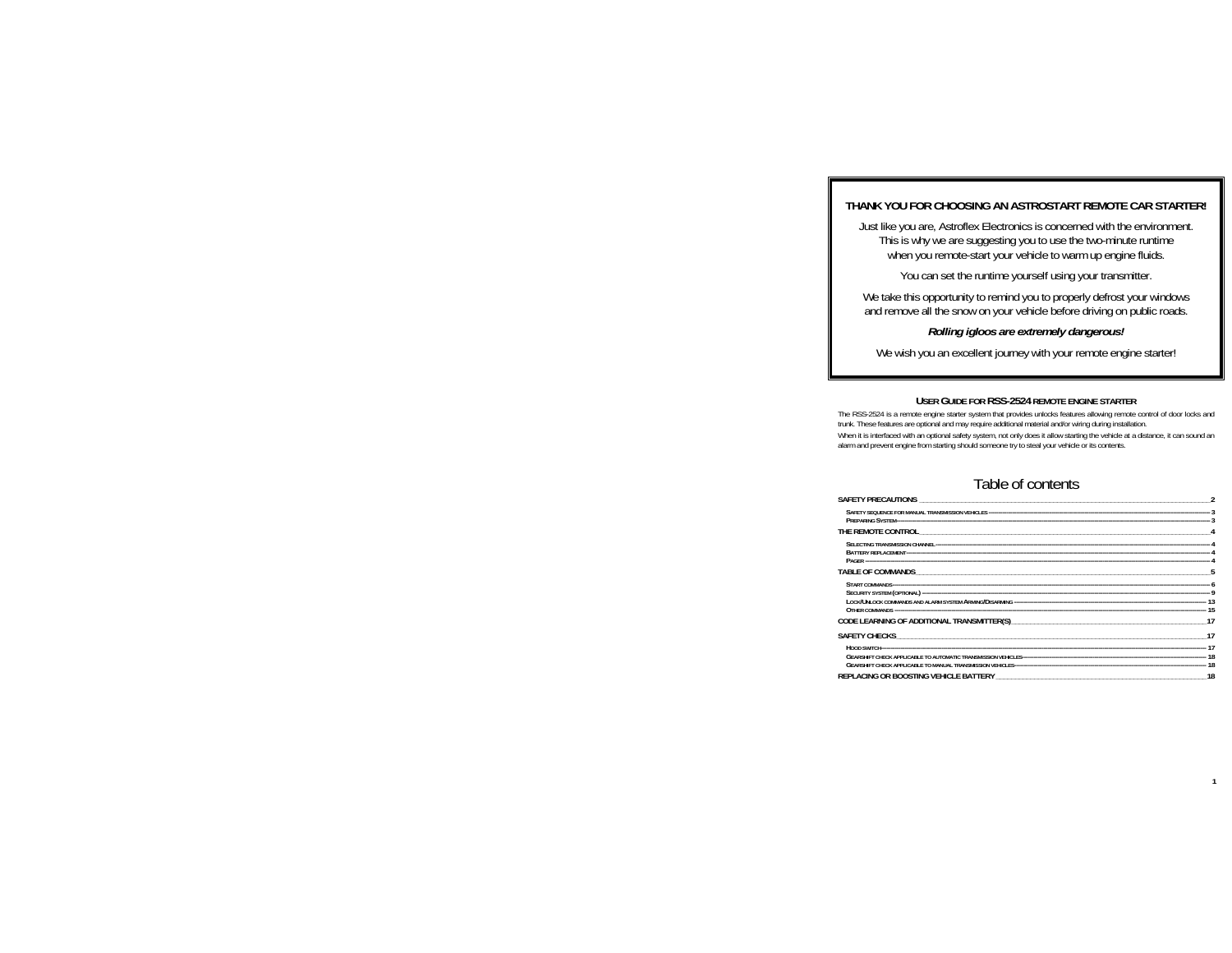## **THANK YOU FOR CHOOSING AN ASTROSTART REMOTE CAR STARTER!**

Just like you are, Astroflex Electronics is concerned with the environment. This is why we are suggesting you to use the two-minute runtime when you remote-start your vehicle to warm up engine fluids.

You can set the runtime yourself using your transmitter.

We take this opportunity to remind you to properly defrost your windows and remove all the snow on your vehicle before driving on public roads.

## *Rolling igloos are extremely dangerous!*

We wish you an excellent journey with your remote engine starter!

### **USER GUIDE FOR RSS-2524 REMOTE ENGINE STARTER**

The RSS-2524 is a remote engine starter system that provides unlocks features allowing remote control of door locks and trunk. These features are optional and may require additional material and/or wiring during installation.

When it is interfaced with an optional safety system, not only does it allow starting the vehicle at a distance, it can sound an alarm and prevent engine from starting should someone try to steal your vehicle or its contents.

## Table of contents

| REPLACING OR BOOSTING VEHICLE BATTERY MELLET AND A STATE AND THE STATE OF STATE AND THE STATE OF STATE AND THE | 18 |
|----------------------------------------------------------------------------------------------------------------|----|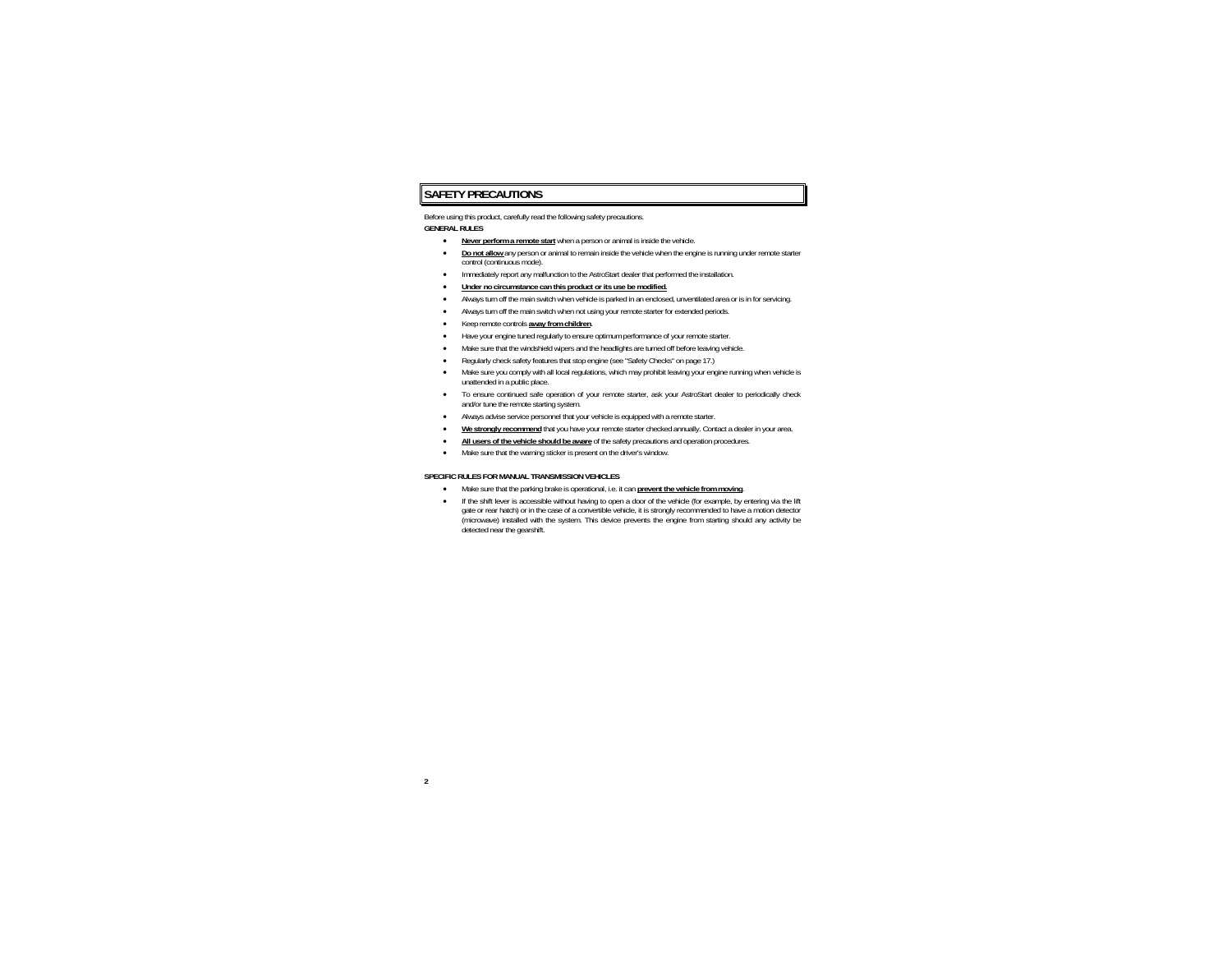## **SAFETY PRECAUTIONS**

Before using this product, carefully read the following safety precautions.

#### **GENERAL RULES**

- •**Never perform a remote start** when a person or animal is inside the vehicle.
- • **Do not allow** any person or animal to remain inside the vehicle when the engine is running under remote starter control (continuous mode).
- •Immediately report any malfunction to the AstroStart dealer that performed the installation.
- •**Under no circumstance can this product or its use be modified.**
- •Always turn off the main switch when vehicle is parked in an enclosed, unventilated area or is in for servicing.
- •Always turn off the main switch when not using your remote starter for extended periods.
- •Keep remote controls **away from children**.
- •Have your engine tuned regularly to ensure optimum performance of your remote starter.
- •Make sure that the windshield wipers and the headlights are turned off before leaving vehicle.
- •Regularly check safety features that stop engine (see "Safety Checks" on page 17.)
- • Make sure you comply with all local regulations, which may prohibit leaving your engine running when vehicle is unattended in a public place.
- • To ensure continued safe operation of your remote starter, ask your AstroStart dealer to periodically check and/or tune the remote starting system.
- •Always advise service personnel that your vehicle is equipped with a remote starter.
- •**We strongly recommend** that you have your remote starter checked annually. Contact a dealer in your area.
- •**All users of the vehicle should be aware** of the safety precautions and operation procedures.
- •Make sure that the warning sticker is present on the driver's window.

#### **SPECIFIC RULES FOR MANUAL TRANSMISSION VEHICLES**

- •Make sure that the parking brake is operational, i.e. it can **prevent the vehicle from moving**.
- • If the shift lever is accessible without having to open a door of the vehicle (for example, by entering via the lift gate or rear hatch) or in the case of a convertible vehicle, it is strongly recommended to have a motion detector (microwave) installed with the system. This device prevents the engine from starting should any activity be detected near the gearshift.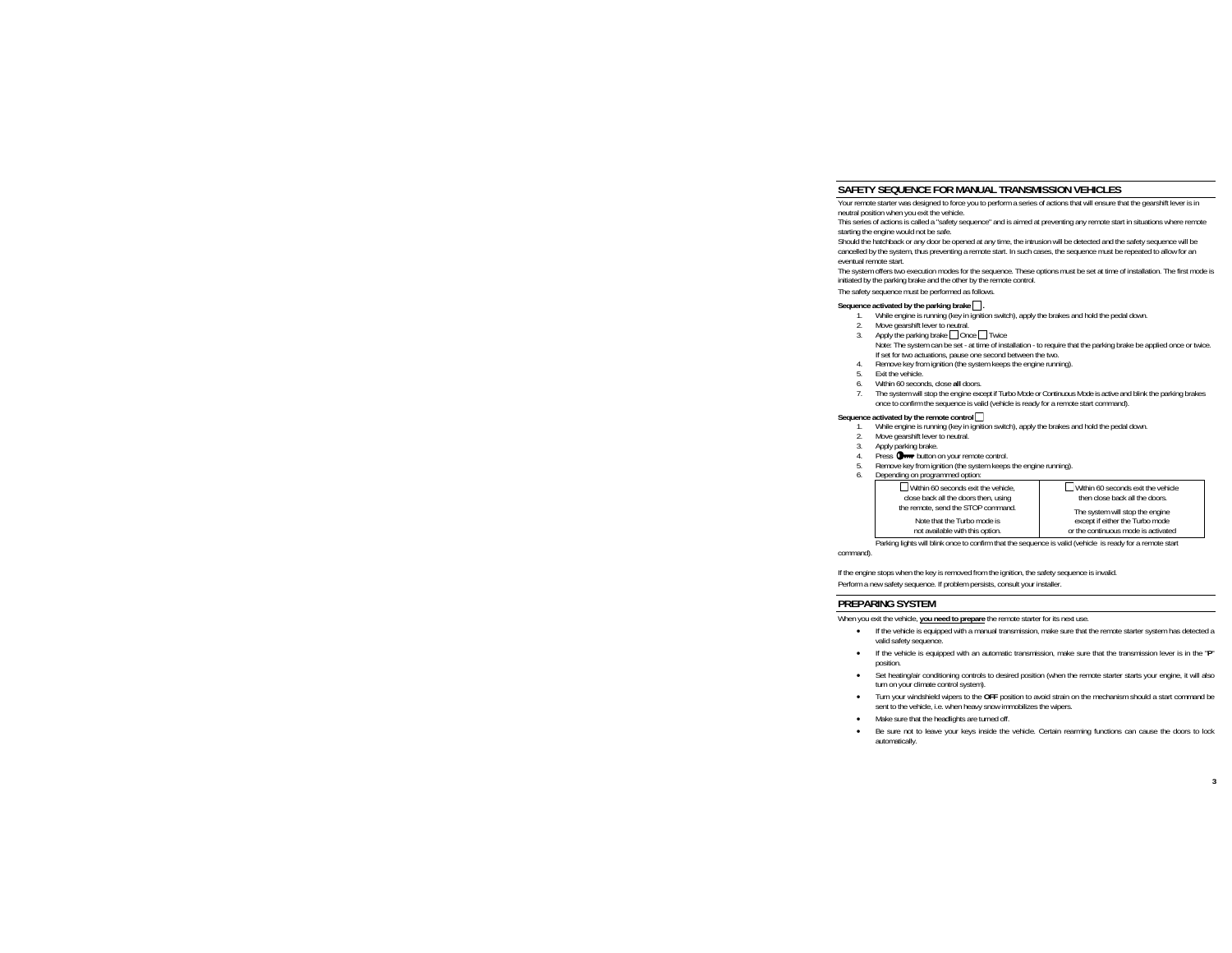## **SAFETY SEQUENCE FOR MANUAL TRANSMISSION VEHICLES**

Your remote starter was designed to force you to perform a series of actions that will ensure that the gearshift lever is in neutral position when you exit the vehicle.

This series of actions is called a "safety sequence" and is aimed at preventing any remote start in situations where remote starting the engine would not be safe.

Should the hatchback or any door be opened at any time, the intrusion will be detected and the safety sequence will be cancelled by the system, thus preventing a remote start. In such cases, the sequence must be repeated to allow for an eventual remote start.

 The system offers two execution modes for the sequence. These options must be set at time of installation. The first mode is initiated by the parking brake and the other by the remote control.

The safety sequence must be performed as follows.

#### **Sequence activated by the parking brake .**

- 1.While engine is running (key in ignition switch), apply the brakes and hold the pedal down.
- 2.Move gearshift lever to neutral.
- 3.Apply the parking brake Once Twice Note: The system can be set - at time of installation - to require that the parking brake be applied once or twice. If set for two actuations, pause one second between the two.
- 4.Remove key from ignition (the system keeps the engine running).
- 5.Exit the vehicle.
- 6.Within 60 seconds, close **all** doors.
- 7. The system will stop the engine except if Turbo Mode or Continuous Mode is active and blink the parking brakes once to confirm the sequence is valid (vehicle is ready for a remote start command).

#### **Sequence activated by the remote control**

- 1.While engine is running (key in ignition switch), apply the brakes and hold the pedal down.
- 2.Move gearshift lever to neutral.
- 3.Apply parking brake.
- 4.Press **O**<sub>111</sub> button on your remote control.
- 5.Remove key from ignition (the system keeps the engine running).
- 6.Depending on programmed option:

| $\Box$ Within 60 seconds exit the vehicle. | $\Box$ Within 60 seconds exit the vehicle |
|--------------------------------------------|-------------------------------------------|
| close back all the doors then, using       | then close back all the doors.            |
| the remote, send the STOP command.         | The system will stop the engine           |
| Note that the Turbo mode is                | except if either the Turbo mode           |
| not available with this option.            | or the continuous mode is activated       |

Parking lights will blink once to confirm that the sequence is valid (vehicle is ready for a remote start

command).

If the engine stops when the key is removed from the ignition, the safety sequence is invalid.

Perform a new safety sequence. If problem persists, consult your installer.

## **PREPARING SYSTEM**

When you exit the vehicle, **you need to prepare** the remote starter for its next use.

- If the vehicle is equipped with a manual transmission, make sure that the remote starter system has detected a valid safety sequence.
- • If the vehicle is equipped with an automatic transmission, make sure that the transmission lever is in the "**P**" position.
- • Set heating/air conditioning controls to desired position (when the remote starter starts your engine, it will also turn on your climate control system).
- • Turn your windshield wipers to the **OFF** position to avoid strain on the mechanism should a start command be sent to the vehicle, i.e. when heavy snow immobilizes the wipers.
- Make sure that the headlights are turned off.
- • Be sure not to leave your keys inside the vehicle. Certain rearming functions can cause the doors to lock automatically.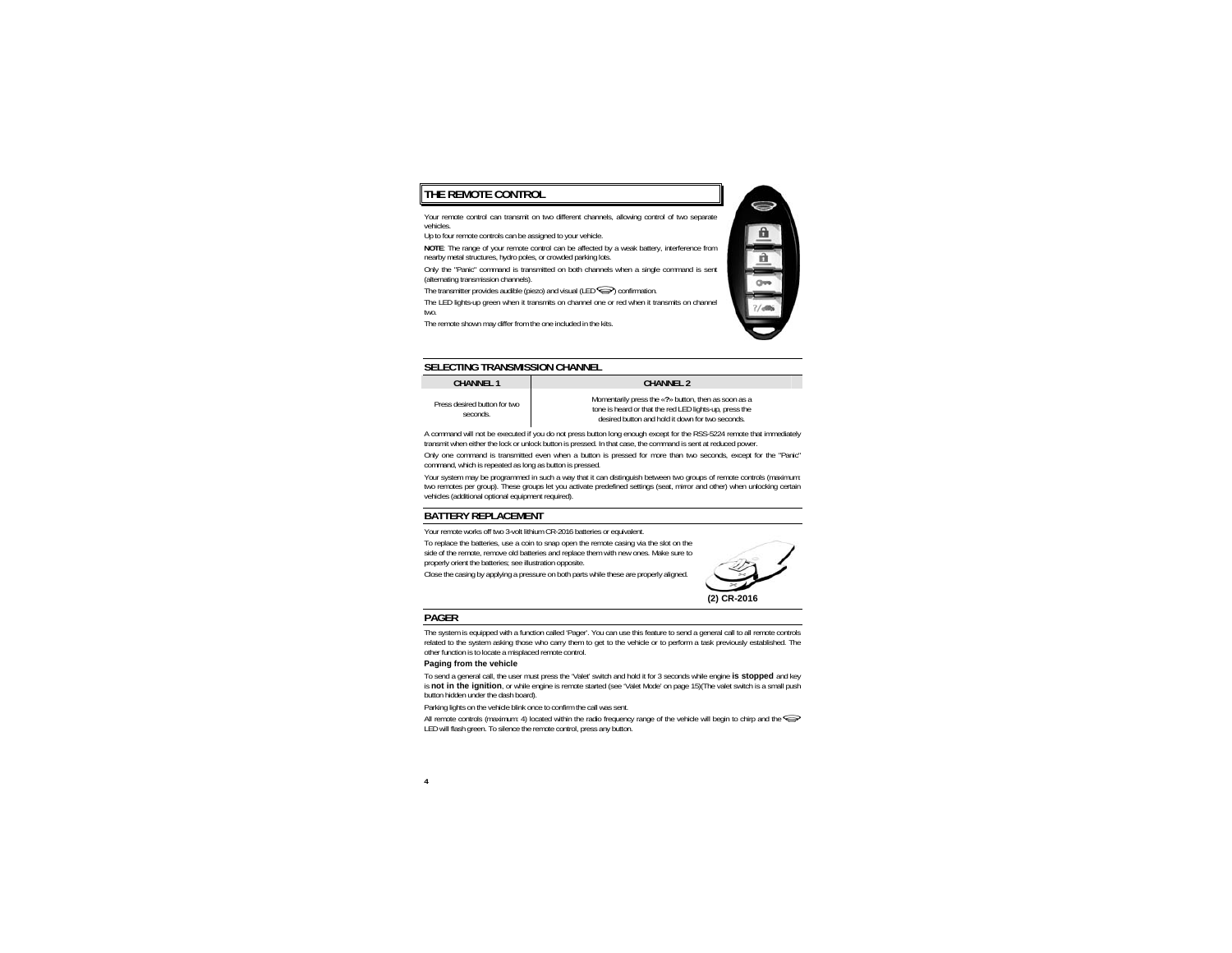## **THE REMOTE CONTROL**

Your remote control can transmit on two different channels, allowing control of two separate vehicles.

Up to four remote controls can be assigned to your vehicle.

**NOTE**: The range of your remote control can be affected by a weak battery, interference from nearby metal structures, hydro poles, or crowded parking lots.

Only the "Panic" command is transmitted on both channels when a single command is sent (alternating transmission channels).

The transmitter provides audible (piezo) and visual  $(LED \implies)$  confirmation.

The LED lights-up green when it transmits on channel one or red when it transmits on channel two.

The remote shown may differ from the one included in the kits.



## **SELECTING TRANSMISSION CHANNEL**

#### **CHANNEL 1**

Press desired button for two seconds.

 **CHANNEL 2** Momentarily press the «**?**» button, then as soon as a tone is heard or that the red LED lights-up, press the desired button and hold it down for two seconds.

A command will not be executed if you do not press button long enough except for the RSS-5224 remote that immediately transmit when either the lock or unlock button is pressed. In that case, the command is sent at reduced power.

Only one command is transmitted even when a button is pressed for more than two seconds, except for the "Panic" command, which is repeated as long as button is pressed.

Your system may be programmed in such a way that it can distinguish between two groups of remote controls (maximum: two remotes per group). These groups let you activate predefined settings (seat, mirror and other) when unlocking certain vehicles (additional optional equipment required).

## **BATTERY REPLACEMENT**

Your remote works off two 3-volt lithium CR-2016 batteries or equivalent.

To replace the batteries, use a coin to snap open the remote casing via the slot on the side of the remote, remove old batteries and replace them with new ones. Make sure to properly orient the batteries; see illustration opposite.

Close the casing by applying a pressure on both parts while these are properly aligned.



## **PAGER**

The system is equipped with a function called 'Pager'. You can use this feature to send a general call to all remote controls related to the system asking those who carry them to get to the vehicle or to perform a task previously established. The other function is to locate a misplaced remote control.

#### **Paging from the vehicle**

To send a general call, the user must press the 'Valet' switch and hold it for 3 seconds while engine **is stopped** and key is **not in the ignition**, or while engine is remote started (see 'Valet Mode' on page 15)(The valet switch is a small push button hidden under the dash board).

Parking lights on the vehicle blink once to confirm the call was sent.

All remote controls (maximum: 4) located within the radio frequency range of the vehicle will begin to chirp and the LED will flash green. To silence the remote control, press any button.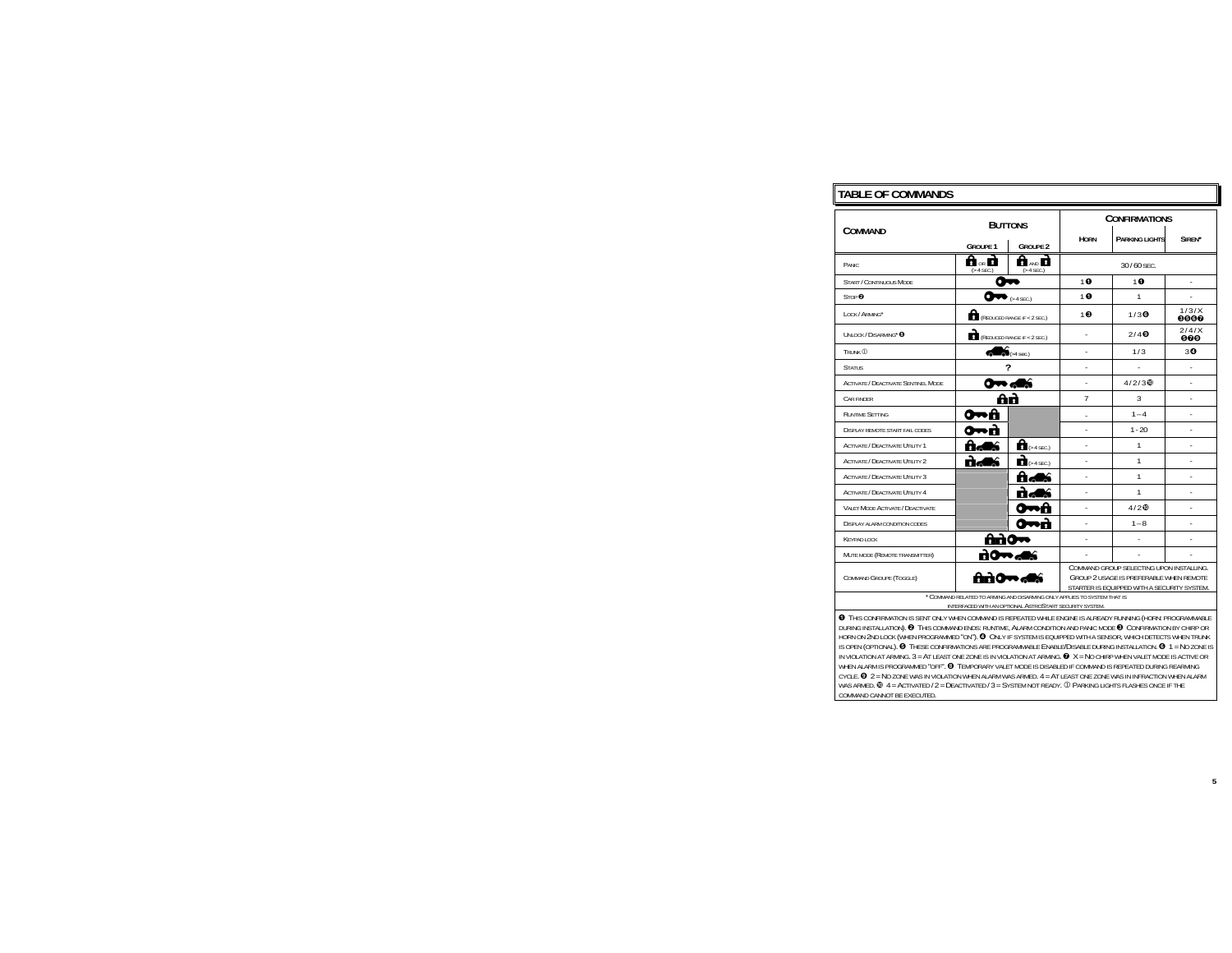## **TABLE OF COMMANDS**

|                                            | <b>BUTTONS</b><br><b>GROUPF 1</b><br><b>GROUPF 2</b>                                                                                            |                                  | <b>CONFIRMATIONS</b> |                        |                    |
|--------------------------------------------|-------------------------------------------------------------------------------------------------------------------------------------------------|----------------------------------|----------------------|------------------------|--------------------|
| COMMAND                                    |                                                                                                                                                 |                                  | <b>HORN</b>          | <b>PARKING LIGHTS</b>  | SIRFN <sup>*</sup> |
| PANIC.                                     | ि ० ने<br>$( > 4$ SEC.)                                                                                                                         | ੀ ਆ ਹੈ<br>$( > 4$ SEC.)          |                      | 30/60 SEC.             |                    |
| <b>START / CONTINUOUS MODE</b>             | n                                                                                                                                               |                                  | 10                   | 10                     |                    |
| STOP <sup>®</sup>                          | œ                                                                                                                                               | $64$ SEC.)                       | 10                   | 1                      | ä,                 |
| LOCK/ARMING*                               | (REDUCED RANGE IF < 2 SEC.)                                                                                                                     |                                  | $1 \odot$            | $1/3$ $\odot$          | 1/3/X<br>0000      |
| UNLOCK / DISARMING* @                      | (REDUCED RANGE IF < $2$ SEC.)                                                                                                                   |                                  | ä,                   | $2/4$ $\odot$          | 2141X<br>000       |
| TRUNK (D)                                  |                                                                                                                                                 | $\widehat{\mathbf{S}}$ (>4 sec.) |                      | 1/3                    | 30                 |
| <b>STATUS</b>                              |                                                                                                                                                 |                                  |                      |                        |                    |
| <b>ACTIVATE / DEACTIVATE SENTINEL MODE</b> |                                                                                                                                                 | 0 <del>0.</del> ali              |                      | $4/2/3$ $\circledcirc$ |                    |
| CAR FINDER                                 |                                                                                                                                                 | ôò                               | $\overline{7}$       | 3                      |                    |
| <b>RUNTIME SETTING</b>                     | . А<br>о                                                                                                                                        |                                  |                      | $1 - 4$                | ÷.                 |
| <b>DISPLAY REMOTE START FAIL CODES</b>     |                                                                                                                                                 |                                  |                      | $1 - 20$               | ÷.                 |
| ACTIVATE / DEACTIVATE UTILITY 1            | ti d                                                                                                                                            | $\mathbf{a}$ (> 4 SEC.)          | l,                   | 1                      |                    |
| <b>ACTIVATE / DEACTIVATE UTILITY 2</b>     | n as                                                                                                                                            | $\mathbf{a}$ (> 4 SEC.)          | ä,                   | $\mathbf{1}$           | ÷.                 |
| ACTIVATE / DEACTIVATE UTILITY 3            |                                                                                                                                                 |                                  | ä,                   | $\mathbf{1}$           | ÷.                 |
| <b>ACTIVATE / DEACTIVATE UTILITY 4</b>     |                                                                                                                                                 |                                  | ä,                   | 1                      | ÷.                 |
| VALET MODE ACTIVATE / DEACTIVATE           |                                                                                                                                                 | Я                                | ä,                   | $4/2$ $\circ$          | ä,                 |
| <b>DISPLAY ALARM CONDITION CODES</b>       |                                                                                                                                                 | ñ                                |                      | $1 - 8$                |                    |
| <b>KEYPAD LOCK</b>                         | Ano≁                                                                                                                                            |                                  |                      |                        |                    |
| MUTE MODE (REMOTE TRANSMITTER)             | по                                                                                                                                              |                                  |                      |                        |                    |
| COMMAND GROUPE (TOGGLE)                    | COMMAND GROUP SELECTING UPON INSTALLING.<br>firì0⇔,d≲<br>GROUP 2 USAGE IS PREFERABLE WHEN REMOTE<br>STARTER IS EQUIPPED WITH A SECURITY SYSTEM. |                                  |                      |                        |                    |
|                                            | * COMMAND RELATED TO ARMING AND DISARMING ONLY APPLIES TO SYSTEM THAT IS<br>INTERFACED WITH AN OPTIONAL ASTROSTART SECURITY SYSTEM.             |                                  |                      |                        |                    |

 THIS CONFIRMATION IS SENT ONLY WHEN COMMAND IS REPEATED WHILE ENGINE IS ALREADY RUNNING (HORN: PROGRAMMABLE DURING INSTALLATION). <sup><sup>2</sup> This command ends: Runtime, Alarm condition and panic mode <sup>3</sup> Confirmation by chirp or</sup> HORN ON 2ND LOCK (WHEN PROGRAMMED "ON"). <sup>O</sup> ONLY IF SYSTEM IS EQUIPPED WITH A SENSOR, WHICH DETECTS WHEN TRUNK IS OPEN (OPTIONAL). <sup>O</sup> THESE CONFIRMATIONS ARE PROGRAMMABLE ENABLE/DISABLE DURING INSTALLATION. <sup>O</sup> 1 = NO ZONE IS IN VIOLATION AT ARMING.  $3$  =  $\,$ AT LEAST ONE ZONE IS IN VIOLATION AT ARMING.  $\, \bm{\Theta} \,$   $\, X$  =  $\,$ No Chirp when valet mode is active or WHEN ALARM IS PROGRAMMED "OFF". TEMPORARY VALET MODE IS DISABLED IF COMMAND IS REPEATED DURING REARMING CYCLE.  $\bm{\Theta}$   $2$  = No zone was in violation when alarm was armed.  $4$  =  $\bm{\mathsf{AT}}$  least one zone was in infraction when alarm WAS ARMED.  $\Phi$  4 = ACTIVATED / 2 = <code>DEACTIVATED</code> / 3 = <code>System</code> not ready.  $\Phi$  Parking lights flashes once if the COMMAND CANNOT BE EXECUTED.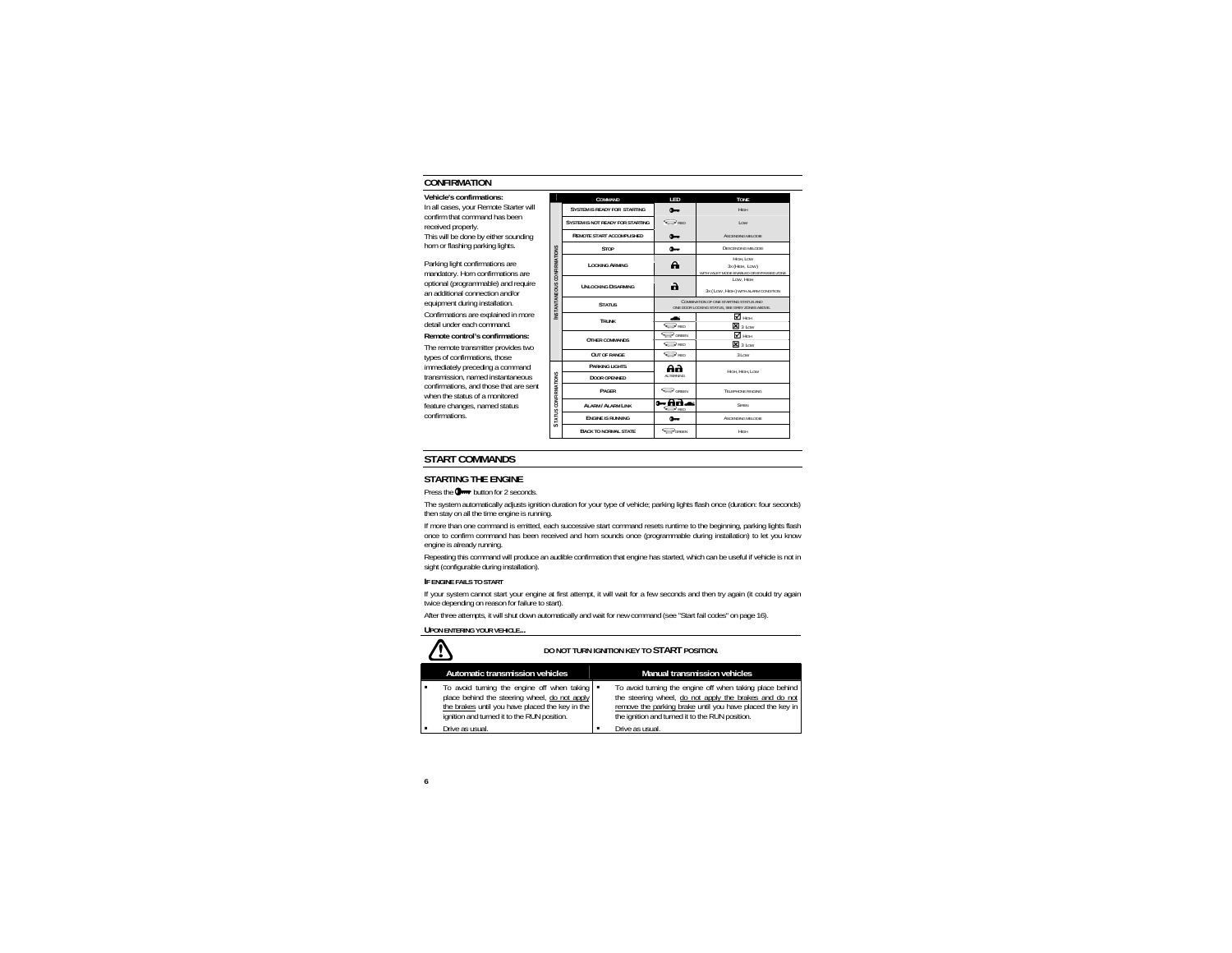## **CONFIRMATION**

#### **Vehicle's confirmations:**

In all cases, your Remote Starter will confirm that command has been received properly.

This will be done by either sounding horn or flashing parking lights.

Parking light confirmations are mandatory. Horn confirmations are optional (programmable) and require an additional connection and/or equipment during installation.

Confirmations are explained in more detail under each command.

#### **Remote control's confirmations:**

The remote transmitter provides two types of confirmations, those immediately preceding a command transmission, named instantaneous confirmations, and those that are sent when the status of a monitored feature changes, named status confirmations.

|                                                                                                           | COMMAND                                 | I FD                         | <b>TONE</b>                                                             |
|-----------------------------------------------------------------------------------------------------------|-----------------------------------------|------------------------------|-------------------------------------------------------------------------|
|                                                                                                           | <b>SYSTEM IS READY FOR STARTING</b>     | $0 -$                        | Нюн                                                                     |
|                                                                                                           | <b>SYSTEM IS NOT READY FOR STARTING</b> | <b>EXED</b>                  | I ow                                                                    |
|                                                                                                           | <b>REMOTE START ACCOMPLISHED</b>        | $0 -$                        | ASCENDING MELODIE                                                       |
|                                                                                                           | STOP                                    | $0 -$                        | <b>DESCENDING MELODIE</b>                                               |
| IN STAN TANEOUS CONFIRMATIONS                                                                             | <b>LOCKING ARMING</b>                   | A                            | HIGH, LOW<br>3x (HIGH, LOW)<br>WITH VALET MODE ENABLED OR BYPASSED ZONE |
|                                                                                                           | <b>UNLOCKING DISARMING</b>              | a                            | LOW. HIGH<br>3x (Low, HIGH) WITH ALARM CONDITION                        |
| COMBINATION OF ONE STARTING STATUS AND<br><b>STATUS</b><br>ONE DOOR LOCKING STATUS. SEE GREY ZONES ABOVE. |                                         |                              |                                                                         |
|                                                                                                           | TRUNK                                   | $\sum_{\rm RD}$              | <b>Z</b> HIGH<br>$\mathbf{E}$ 3 Low                                     |
|                                                                                                           | <b>OTHER COMMANDS</b>                   | GREEN<br>$\bigcirc$ RED      | $\blacksquare$ High<br><b>E</b> 3 Low                                   |
|                                                                                                           | <b>OUT OF RANGE</b>                     | $\rightarrow$ psn            | 31 <sub>ow</sub>                                                        |
|                                                                                                           | <b>PARKING LIGHTS</b>                   | Аa                           | HIGH, HIGH, LOW                                                         |
|                                                                                                           | <b>DOOR OPENNED</b>                     | AI TERNING                   |                                                                         |
| <b>STATUS CONFIRMATIONS</b>                                                                               | PAGER                                   | GREEN                        | TELEPHONE RINGING                                                       |
|                                                                                                           | ALARM / ALARM LINK                      | ० - तिले<br>$\rightarrow$ am | SIREN                                                                   |
|                                                                                                           | <b>ENGINE IS RUNNING</b>                | <b>0-</b>                    | <b>ASCENDING MELODIE</b>                                                |
|                                                                                                           | <b>BACK TO NORMAL STATE</b>             | <b>CREEN</b>                 | Низн                                                                    |
|                                                                                                           |                                         |                              |                                                                         |

## **START COMMANDS**

### **STARTING THE ENGINE**

Press the  $\mathbf{Q}$ <sub>11</sub> button for 2 seconds.

The system automatically adjusts ignition duration for your type of vehicle; parking lights flash once (duration: four seconds) then stay on all the time engine is running.

If more than one command is emitted, each successive start command resets runtime to the beginning, parking lights flash once to confirm command has been received and horn sounds once (programmable during installation) to let you know engine is already running.

Repeating this command will produce an audible confirmation that engine has started, which can be useful if vehicle is not in sight (configurable during installation).

#### **IF ENGINE FAILS TO START**

If your system cannot start your engine at first attempt, it will wait for a few seconds and then try again (it could try again twice depending on reason for failure to start).

After three attempts, it will shut down automatically and wait for new command (see "Start fail codes" on page 16).

#### **UPON ENTERING YOUR VEHICLE...**

|   | DO NOT TURN IGNITION KEY TO START POSITION.                                                                                                                                                    |  |                                                                                                                                                                                                                                    |
|---|------------------------------------------------------------------------------------------------------------------------------------------------------------------------------------------------|--|------------------------------------------------------------------------------------------------------------------------------------------------------------------------------------------------------------------------------------|
|   | Automatic transmission vehicles                                                                                                                                                                |  | Manual transmission vehicles                                                                                                                                                                                                       |
| ٠ | To avoid turning the engine off when taking<br>place behind the steering wheel, do not apply<br>the brakes until you have placed the key in the<br>ignition and turned it to the RUN position. |  | To avoid turning the engine off when taking place behind<br>the steering wheel, do not apply the brakes and do not<br>remove the parking brake until you have placed the key in<br>the ignition and turned it to the RUN position. |
|   | Drive as usual.                                                                                                                                                                                |  | Drive as usual.                                                                                                                                                                                                                    |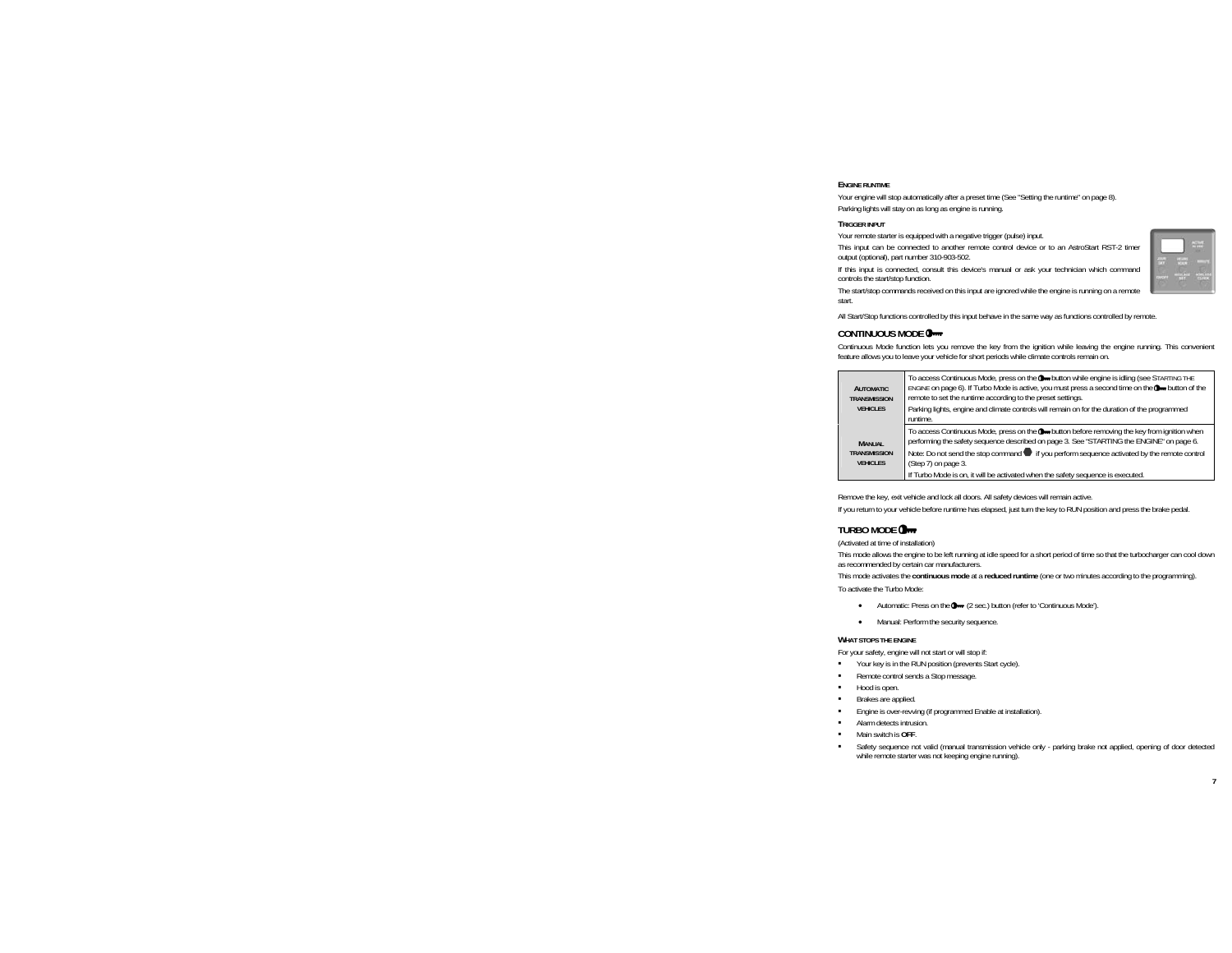#### **ENGINE RUNTIME**

Your engine will stop automatically after a preset time (See "Setting the runtime" on page 8). Parking lights will stay on as long as engine is running.

#### **TRIGGER INPUT**

Your remote starter is equipped with a negative trigger (pulse) input.

This input can be connected to another remote control device or to an AstroStart RST-2 timer output (optional), part number 310-903-502.

If this input is connected, consult this device's manual or ask your technician which command controls the start/stop function.

The start/stop commands received on this input are ignored while the engine is running on a remote start.

All Start/Stop functions controlled by this input behave in the same way as functions controlled by remote.

## **CONTINUOUS MODE**

Continuous Mode function lets you remove the key from the ignition while leaving the engine running. This convenient feature allows you to leave your vehicle for short periods while climate controls remain on.

| <b>AUTOMATIC</b><br>TRANSMISSION<br><b>VEHICLES</b> | To access Continuous Mode, press on the O-button while engine is idling (see STARTING THE<br>ENGINE on page 6). If Turbo Mode is active, you must press a second time on the Own button of the<br>remote to set the runtime according to the preset settings.<br>Parking lights, engine and climate controls will remain on for the duration of the programmed |
|-----------------------------------------------------|----------------------------------------------------------------------------------------------------------------------------------------------------------------------------------------------------------------------------------------------------------------------------------------------------------------------------------------------------------------|
|                                                     | runtime.                                                                                                                                                                                                                                                                                                                                                       |
| <b>MANUAL</b><br>TRANSMISSION<br><b>VEHICLES</b>    | To access Continuous Mode, press on the O-button before removing the key from ignition when<br>performing the safety sequence described on page 3. See "STARTING the ENGINE" on page 6.<br>Note: Do not send the stop command if you perform sequence activated by the remote control<br>(Step 7) on page 3.                                                   |
|                                                     | If Turbo Mode is on, it will be activated when the safety sequence is executed.                                                                                                                                                                                                                                                                                |

Remove the key, exit vehicle and lock all doors. All safety devices will remain active.

If you return to your vehicle before runtime has elapsed, just turn the key to RUN position and press the brake pedal.

## **TURBO MODE**

(Activated at time of installation)

This mode allows the engine to be left running at idle speed for a short period of time so that the turbocharger can cool down as recommended by certain car manufacturers.

This mode activates the **continuous mode** at a **reduced runtime** (one or two minutes according to the programming).

To activate the Turbo Mode:

- •Automatic: Press on the  $\Box$  (2 sec.) button (refer to 'Continuous Mode').
- •Manual: Perform the security sequence.

#### **WHAT STOPS THE ENGINE**

For your safety, engine will not start or will stop if:

- Your key is in the RUN position (prevents Start cycle).
- ٠ Remote control sends a Stop message.
- Hood is open.
- Brakes are applied.
- Engine is over-revving (if programmed Enable at installation).
- Alarm detects intrusion.
- Main switch is **OFF**.
- Safety sequence not valid (manual transmission vehicle only parking brake not applied, opening of door detected while remote starter was not keeping engine running).

|        | ò<br>٠                |
|--------|-----------------------|
|        |                       |
| ٠<br>٠ |                       |
|        | ī<br>٦<br>٠<br>٦<br>m |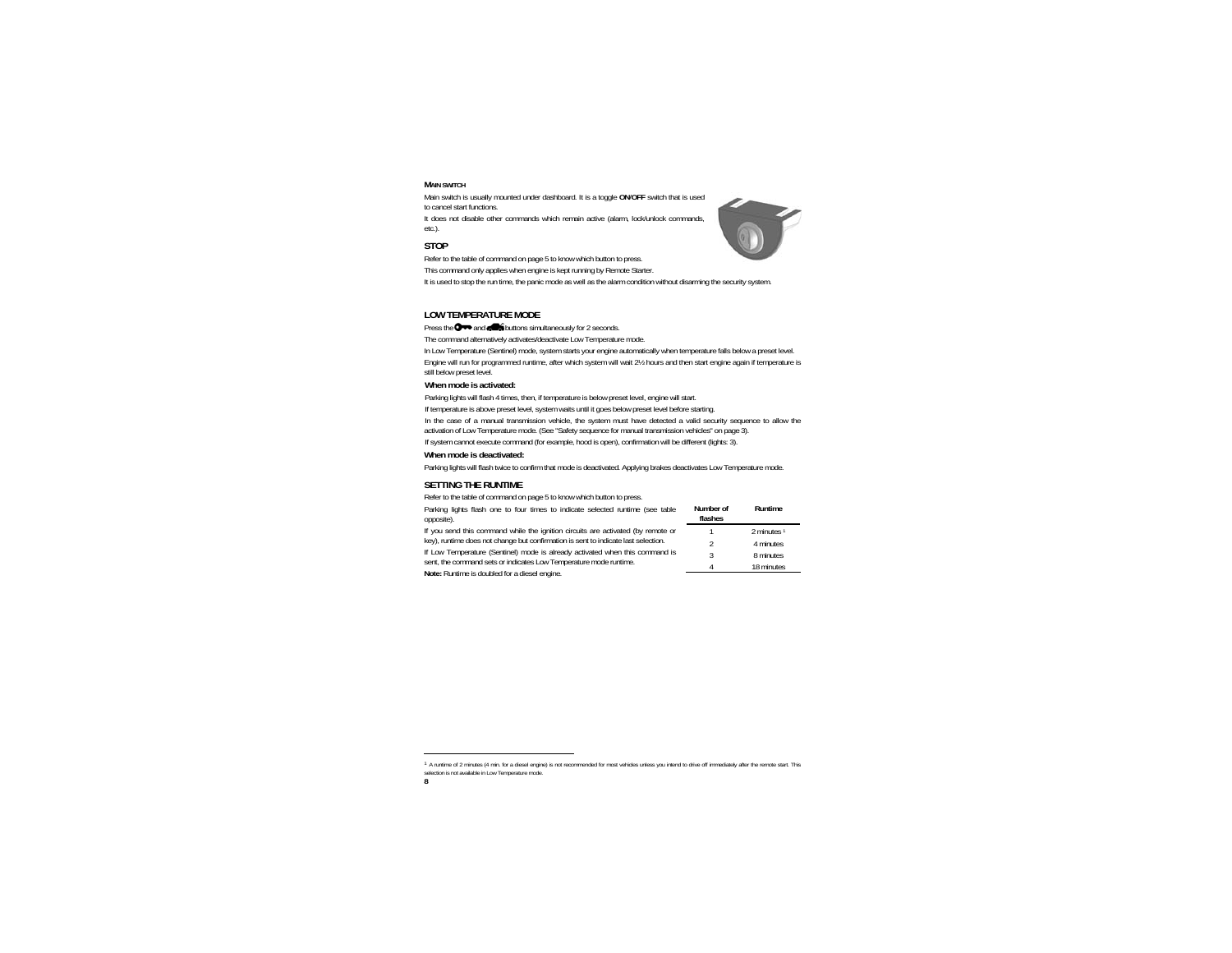#### **MAIN SWITCH**

Main switch is usually mounted under dashboard. It is a toggle **ON**/**OFF** switch that is used to cancel start functions.

It does not disable other commands which remain active (alarm, lock/unlock commands, etc.).

## **STOP**

Refer to the table of command on page 5 to know which button to press.

This command only applies when engine is kept running by Remote Starter.

It is used to stop the run time, the panic mode as well as the alarm condition without disarming the security system.

## **LOW TEMPERATURE MODE**

Press the  $\bigcirc \rightarrow$  and  $\bigcirc$  buttons simultaneously for 2 seconds.

The command alternatively activates/deactivate Low Temperature mode.

In Low Temperature (Sentinel) mode, system starts your engine automatically when temperature falls below a preset level. Engine will run for programmed runtime, after which system will wait 2½ hours and then start engine again if temperature is still below preset level.

#### **When mode is activated:**

Parking lights will flash 4 times, then, if temperature is below preset level, engine will start.

If temperature is above preset level, system waits until it goes below preset level before starting.

In the case of a manual transmission vehicle, the system must have detected a valid security sequence to allow the activation of Low Temperature mode. (See "Safety sequence for manual transmission vehicles" on page 3).

If system cannot execute command (for example, hood is open), confirmation will be different (lights: 3).

#### **When mode is deactivated:**

Parking lights will flash twice to confirm that mode is deactivated. Applying brakes deactivates Low Temperature mode.

### **SETTING THE RUNTIME**

Refer to the table of command on page 5 to know which button to press.

| Parking lights flash one to four times to indicate selected runtime (see table<br>opposite).                                                      | Number of<br>flashes | Runtime                |
|---------------------------------------------------------------------------------------------------------------------------------------------------|----------------------|------------------------|
| If you send this command while the ignition circuits are activated (by remote or                                                                  |                      | 2 minutes <sup>1</sup> |
| key), runtime does not change but confirmation is sent to indicate last selection.                                                                |                      | 4 minutes              |
| If Low Temperature (Sentinel) mode is already activated when this command is<br>sent, the command sets or indicates Low Temperature mode runtime. |                      | 8 minutes              |
|                                                                                                                                                   |                      | 18 minutes             |
| Note: Runtime is doubled for a diesel engine.                                                                                                     |                      |                        |

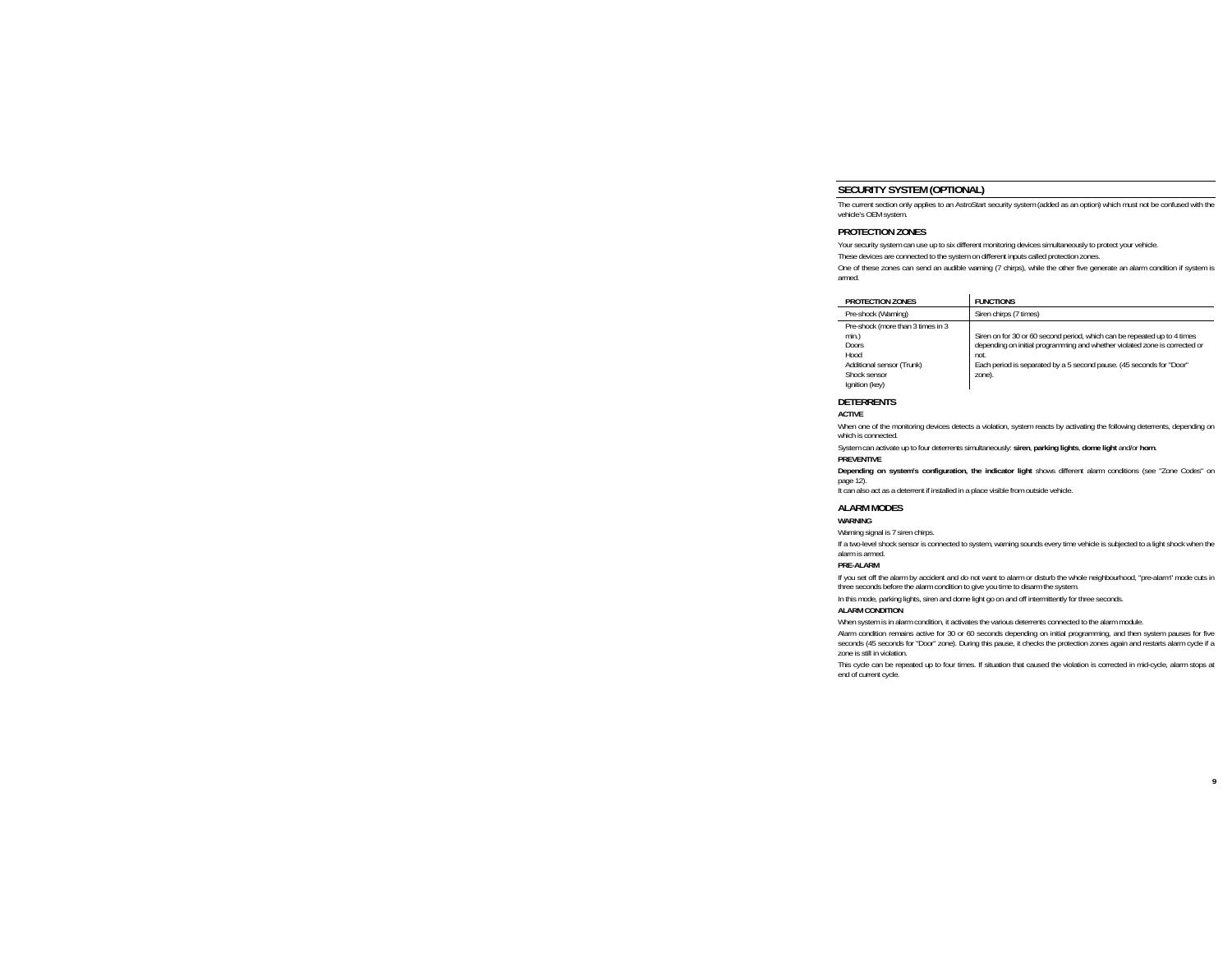## **SECURITY SYSTEM (OPTIONAL)**

The current section only applies to an AstroStart security system (added as an option) which must not be confused with the vehicle's OEM system.

### **PROTECTION ZONES**

Your security system can use up to six different monitoring devices simultaneously to protect your vehicle.

These devices are connected to the system on different inputs called protection zones.

One of these zones can send an audible warning (7 chirps), while the other five generate an alarm condition if system is armed.

| PROTECTION ZONES                                                                                                           | <b>FUNCTIONS</b>                                                                                                                                                                                                                                 |
|----------------------------------------------------------------------------------------------------------------------------|--------------------------------------------------------------------------------------------------------------------------------------------------------------------------------------------------------------------------------------------------|
| Pre-shock (Warning)                                                                                                        | Siren chirps (7 times)                                                                                                                                                                                                                           |
| Pre-shock (more than 3 times in 3<br>min.)<br>Doors<br>Hood<br>Additional sensor (Trunk)<br>Shock sensor<br>Ignition (key) | Siren on for 30 or 60 second period, which can be repeated up to 4 times<br>depending on initial programming and whether violated zone is corrected or<br>not.<br>Each period is separated by a 5 second pause. (45 seconds for "Door"<br>zone). |

#### **DETERRENTS**

#### **ACTIVE**

When one of the monitoring devices detects a violation, system reacts by activating the following deterrents, depending on which is connected.

System can activate up to four deterrents simultaneously: **siren**, **parking lights**, **dome light** and/or **horn**.

#### **PREVENTIVE**

**Depending on system's configuration, the indicator light** shows different alarm conditions (see "Zone Codes" on page 12).

It can also act as a deterrent if installed in a place visible from outside vehicle.

#### **ALARM MODES**

#### **WARNING**

Warning signal is 7 siren chirps.

If a two-level shock sensor is connected to system, warning sounds every time vehicle is subjected to a light shock when the alarm is armed.

#### **PRE-ALARM**

If you set off the alarm by accident and do not want to alarm or disturb the whole neighbourhood, "pre-alarm" mode cuts in three seconds before the alarm condition to give you time to disarm the system.

In this mode, parking lights, siren and dome light go on and off intermittently for three seconds.

#### **ALARM CONDITION**

When system is in alarm condition, it activates the various deterrents connected to the alarm module.

Alarm condition remains active for 30 or 60 seconds depending on initial programming, and then system pauses for five seconds (45 seconds for "Door" zone). During this pause, it checks the protection zones again and restarts alarm cycle if a zone is still in violation.

This cycle can be repeated up to four times. If situation that caused the violation is corrected in mid-cycle, alarm stops at end of current cycle.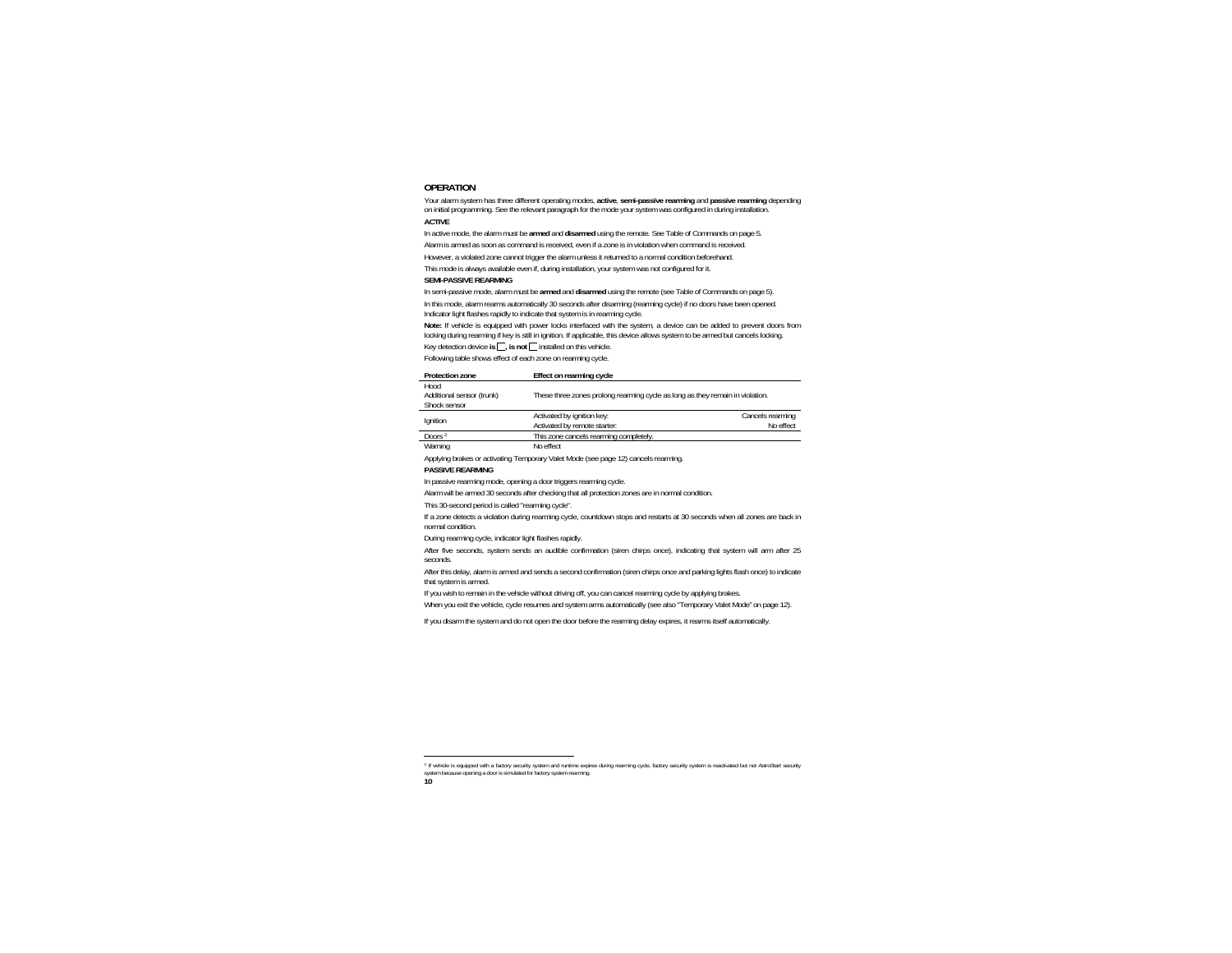## **OPERATION**

Your alarm system has three different operating modes, **active**, **semi-passive rearming** and **passive rearming** depending on initial programming. See the relevant paragraph for the mode your system was configured in during installation.

#### **ACTIVE**

In active mode, the alarm must be **armed** and **disarmed** using the remote. See Table of Commands on page 5.

Alarm is armed as soon as command is received, even if a zone is in violation when command is received.

However, a violated zone cannot trigger the alarm unless it returned to a normal condition beforehand.

This mode is always available even if, during installation, your system was not configured for it.

#### **SEMI-PASSIVE REARMING**

In semi-passive mode, alarm must be **armed** and **disarmed** using the remote (see Table of Commands on page 5).

In this mode, alarm rearms automatically 30 seconds after disarming (rearming cycle) if no doors have been opened. Indicator light flashes rapidly to indicate that system is in rearming cycle.

**Note:** If vehicle is equipped with power locks interfaced with the system, a device can be added to prevent doors from locking during rearming if key is still in ignition. If applicable, this device allows system to be armed but cancels locking.

Key detection device is  $\Box$ , is not  $\Box$  installed on this vehicle.

Following table shows effect of each zone on rearming cycle.

| Protection zone           | Effect on rearming cycle                                                      |                  |
|---------------------------|-------------------------------------------------------------------------------|------------------|
| Hood                      |                                                                               |                  |
| Additional sensor (trunk) | These three zones prolong rearming cycle as long as they remain in violation. |                  |
| Shock sensor              |                                                                               |                  |
| Ignition                  | Activated by ignition key:                                                    | Cancels rearming |
|                           | Activated by remote starter:                                                  | No effect        |
| Doors <sup>2</sup>        | This zone cancels rearming completely.                                        |                  |
| Warning                   | No effect                                                                     |                  |

Applying brakes or activating Temporary Valet Mode (see page 12) cancels rearming.

#### **PASSIVE REARMING**

In passive rearming mode, opening a door triggers rearming cycle.

Alarm will be armed 30 seconds after checking that all protection zones are in normal condition.

This 30-second period is called "rearming cycle".

If a zone detects a violation during rearming cycle, countdown stops and restarts at 30 seconds when all zones are back in normal condition.

During rearming cycle, indicator light flashes rapidly.

After five seconds, system sends an audible confirmation (siren chirps once), indicating that system will arm after 25 seconds.

After this delay, alarm is armed and sends a second confirmation (siren chirps once and parking lights flash once) to indicate that system is armed.

If you wish to remain in the vehicle without driving off, you can cancel rearming cycle by applying brakes.

When you exit the vehicle, cycle resumes and system arms automatically (see also "Temporary Valet Mode" on page 12).

If you disarm the system and do not open the door before the rearming delay expires, it rearms itself automatically.

<sup>2</sup> If vehicle is equipped with a factory security system and runtime expires during rearming cycle, factory security system is reactivated but not AstroStart security system because opening a door is simulated for factory system rearming.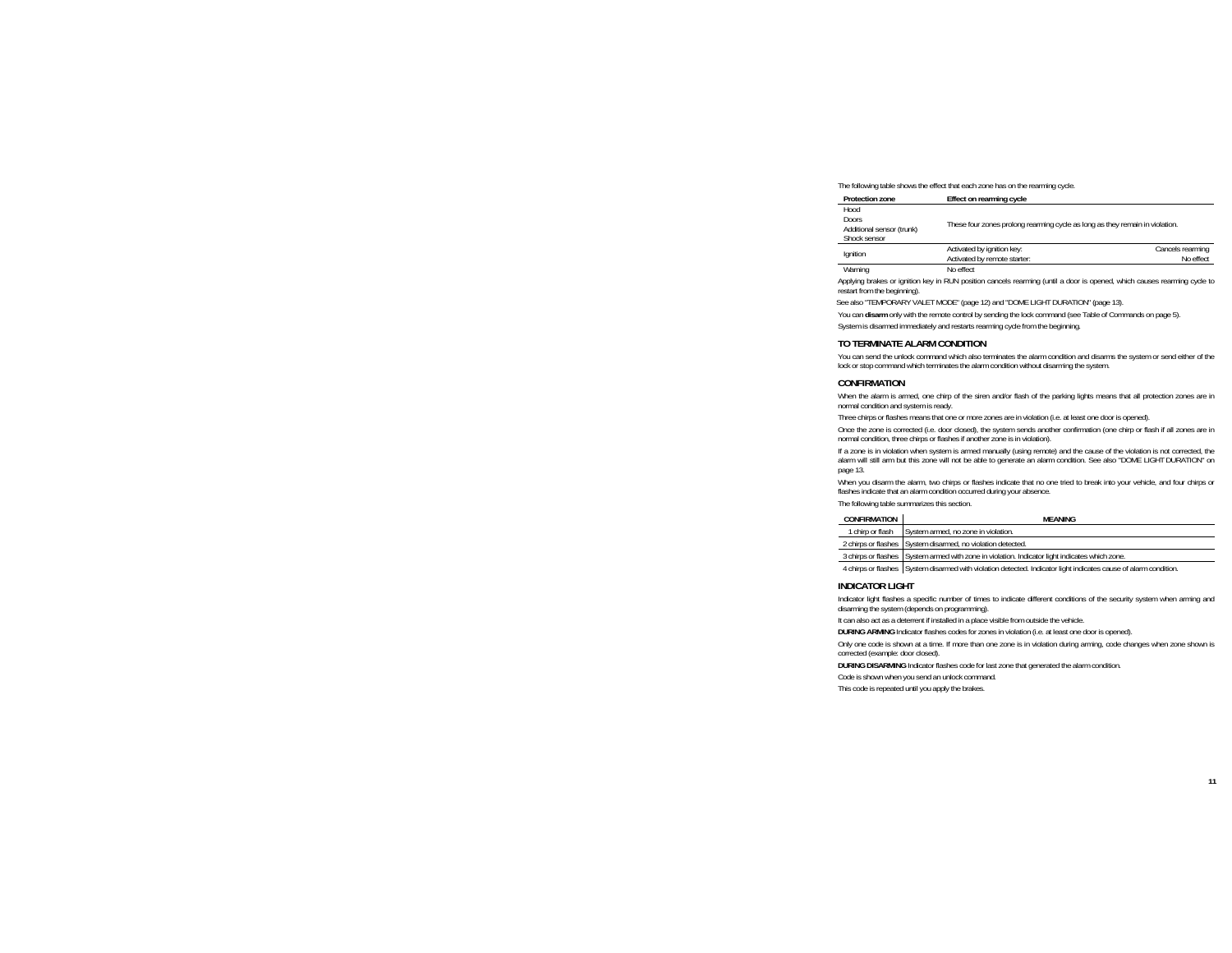The following table shows the effect that each zone has on the rearming cycle.

| <b>Protection zone</b>                                            | Effect on rearming cycle                                                     |                               |
|-------------------------------------------------------------------|------------------------------------------------------------------------------|-------------------------------|
| Hood<br><b>Doors</b><br>Additional sensor (trunk)<br>Shock sensor | These four zones prolong rearming cycle as long as they remain in violation. |                               |
| Ignition                                                          | Activated by ignition key:<br>Activated by remote starter:                   | Cancels rearming<br>No effect |
| Warning                                                           | No effect                                                                    |                               |

Applying brakes or ignition key in RUN position cancels rearming (until a door is opened, which causes rearming cycle to restart from the beginning).

See also "TEMPORARY VALET MODE" (page 12) and "DOME LIGHT DURATION" (page 13).

You can **disarm** only with the remote control by sending the lock command (see Table of Commands on page 5).

System is disarmed immediately and restarts rearming cycle from the beginning.

#### **TO TERMINATE ALARM CONDITION**

You can send the unlock command which also terminates the alarm condition and disarms the system or send either of the lock or stop command which terminates the alarm condition without disarming the system.

#### **CONFIRMATION**

When the alarm is armed, one chirp of the siren and/or flash of the parking lights means that all protection zones are in normal condition and system is ready.

Three chirps or flashes means that one or more zones are in violation (i.e. at least one door is opened).

Once the zone is corrected (i.e. door closed), the system sends another confirmation (one chirp or flash if all zones are in normal condition, three chirps or flashes if another zone is in violation).

If a zone is in violation when system is armed manually (using remote) and the cause of the violation is not corrected, the alarm will still arm but this zone will not be able to generate an alarm condition. See also "DOME LIGHT DURATION" on page 13.

When you disarm the alarm, two chirps or flashes indicate that no one tried to break into your vehicle, and four chirps or flashes indicate that an alarm condition occurred during your absence.

The following table summarizes this section.

| CONFIRMATION     | <b>MFANING</b>                                                                                                                                                                                                                  |
|------------------|---------------------------------------------------------------------------------------------------------------------------------------------------------------------------------------------------------------------------------|
| 1 chirp or flash | System armed, no zone in violation.                                                                                                                                                                                             |
|                  | 2 chirps or flashes System disarmed, no violation detected.                                                                                                                                                                     |
|                  | 3 chirps or flashes System armed with zone in violation. Indicator light indicates which zone.                                                                                                                                  |
|                  | $\sim$ . The contract of the contract of the contract of the contract of the contract of the contract of the contract of the contract of the contract of the contract of the contract of the contract of the contract of the co |

4 chirps or flashes System disarmed with violation detected. Indicator light indicates cause of alarm condition.

#### **INDICATOR LIGHT**

Indicator light flashes a specific number of times to indicate different conditions of the security system when arming and disarming the system (depends on programming).

It can also act as a deterrent if installed in a place visible from outside the vehicle.

**DURING ARMING** Indicator flashes codes for zones in violation (i.e. at least one door is opened).

Only one code is shown at a time. If more than one zone is in violation during arming, code changes when zone shown is corrected (example: door closed).

**DURING DISARMING** Indicator flashes code for last zone that generated the alarm condition.

Code is shown when you send an unlock command.

This code is repeated until you apply the brakes.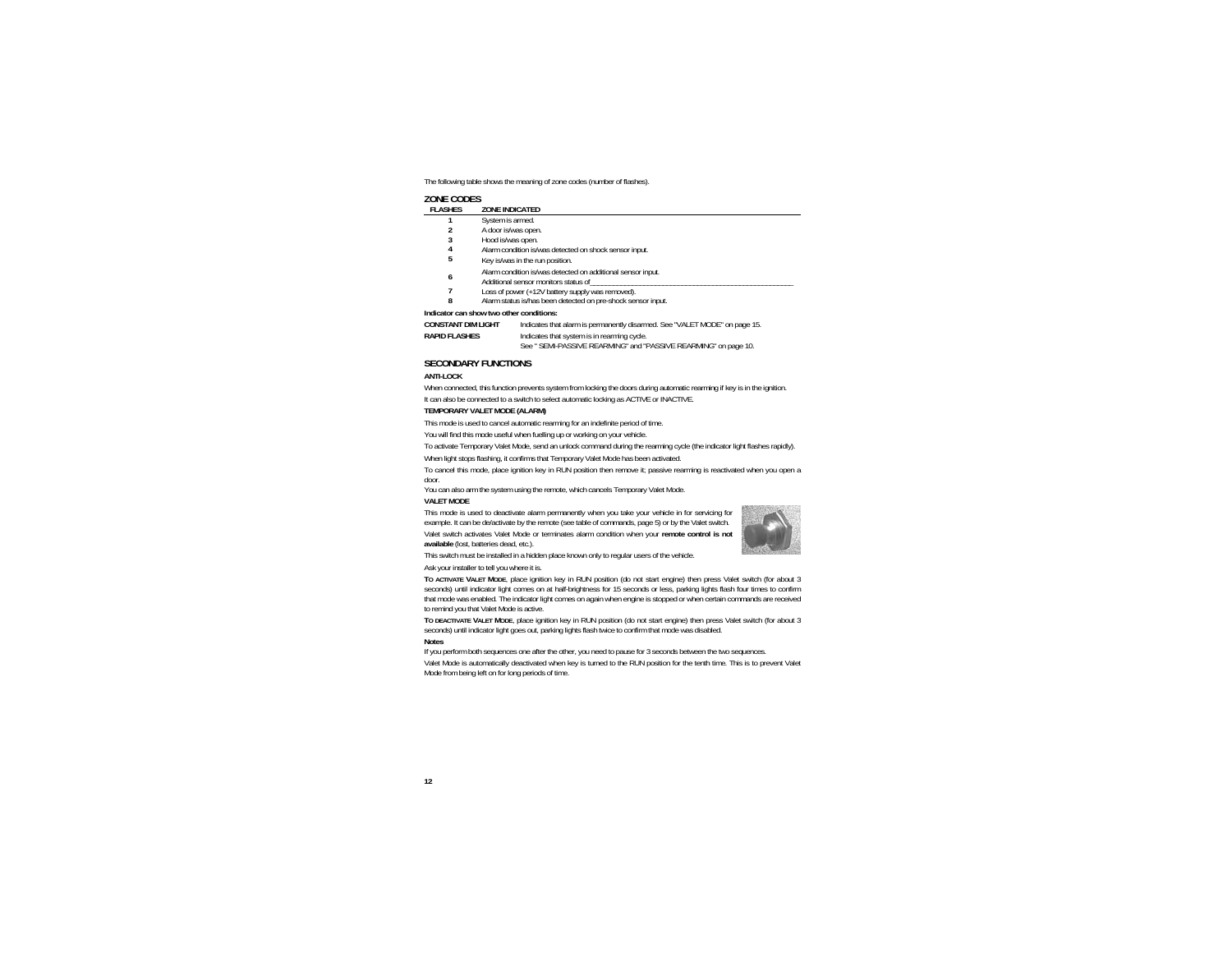The following table shows the meaning of zone codes (number of flashes).

## **ZONE CODES**

| <b>FLASHES</b>     | ZONE INDICATED                                                                                      |
|--------------------|-----------------------------------------------------------------------------------------------------|
|                    | System is armed.                                                                                    |
|                    | A door is/was open.                                                                                 |
| 3                  | Hood is/was open.                                                                                   |
| 4                  | Alarm condition is/was detected on shock sensor input.                                              |
| 5                  | Key is/was in the run position.                                                                     |
| 6                  | Alarm condition is/was detected on additional sensor input.<br>Additional sensor monitors status of |
|                    | Loss of power (+12V battery supply was removed).                                                    |
| 8                  | Alarm status is/has been detected on pre-shock sensor input.                                        |
|                    | Indicator can show two other conditions:                                                            |
| CONCTANT DIM LICUT | Indicator that alarm is normanontly disarmed. See "VALET MODE" on nage 15                           |

| <b>CONSTANT DIM LIGHT</b> | Indicates that alarm is permanently disarmed. See "VALET MODE" on page 15. |
|---------------------------|----------------------------------------------------------------------------|
| RAPID FLASHES             | Indicates that system is in rearming cycle.                                |
|                           | See " SEMI-PASSIVE REARMING" and "PASSIVE REARMING" on page 10.            |

## **SECONDARY FUNCTIONS**

#### **ANTI-LOCK**

When connected, this function prevents system from locking the doors during automatic rearming if key is in the ignition.

It can also be connected to a switch to select automatic locking as ACTIVE or INACTIVE.

#### **TEMPORARY VALET MODE (ALARM)**

This mode is used to cancel automatic rearming for an indefinite period of time.

You will find this mode useful when fuelling up or working on your vehicle.

To activate Temporary Valet Mode, send an unlock command during the rearming cycle (the indicator light flashes rapidly).

When light stops flashing, it confirms that Temporary Valet Mode has been activated.

To cancel this mode, place ignition key in RUN position then remove it; passive rearming is reactivated when you open a door.

You can also arm the system using the remote, which cancels Temporary Valet Mode.

#### **VALET MODE**

This mode is used to deactivate alarm permanently when you take your vehicle in for servicing for example. It can be de/activate by the remote (see table of commands, page 5) or by the Valet switch. Valet switch activates Valet Mode or terminates alarm condition when your **remote control is not** 

**available** (lost, batteries dead, etc.).

This switch must be installed in a hidden place known only to regular users of the vehicle.

Ask your installer to tell you where it is.

**TO ACTIVATE VALET MODE**, place ignition key in RUN position (do not start engine) then press Valet switch (for about 3 seconds) until indicator light comes on at half-brightness for 15 seconds or less, parking lights flash four times to confirm that mode was enabled. The indicator light comes on again when engine is stopped or when certain commands are received to remind you that Valet Mode is active.

**TO DEACTIVATE VALET MODE**, place ignition key in RUN position (do not start engine) then press Valet switch (for about 3 seconds) until indicator light goes out, parking lights flash twice to confirm that mode was disabled.

#### **Notes**

If you perform both sequences one after the other, you need to pause for 3 seconds between the two sequences.

Valet Mode is automatically deactivated when key is turned to the RUN position for the tenth time. This is to prevent Valet Mode from being left on for long periods of time.

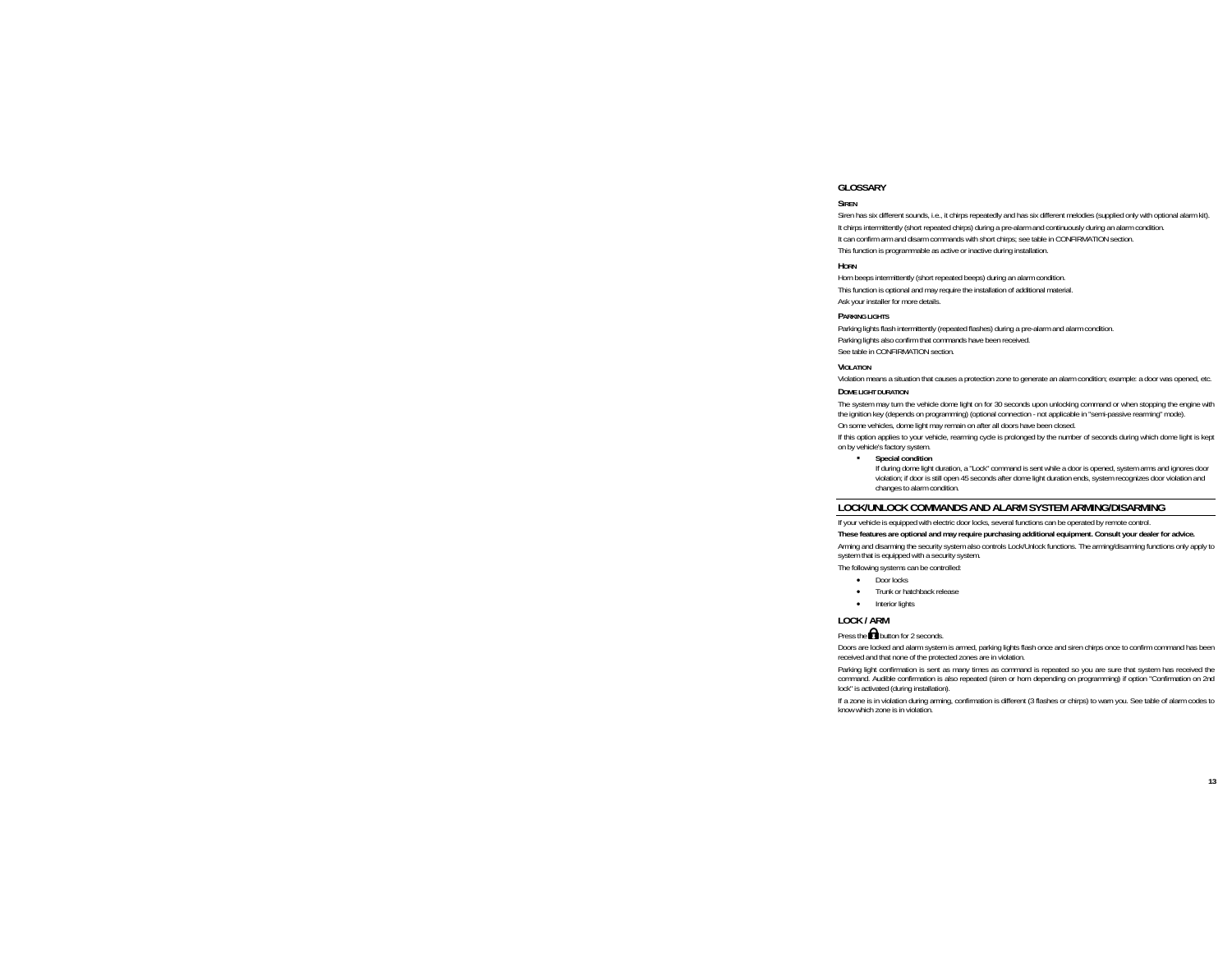## **GLOSSARY**

#### **SIDEN**

Siren has six different sounds, i.e., it chirps repeatedly and has six different melodies (supplied only with optional alarm kit). It chirps intermittently (short repeated chirps) during a pre-alarm and continuously during an alarm condition. It can confirm arm and disarm commands with short chirps; see table in CONFIRMATION section. This function is programmable as active or inactive during installation.

#### **HORN**

Horn beeps intermittently (short repeated beeps) during an alarm condition. This function is optional and may require the installation of additional material. Ask your installer for more details.

#### **PARKING LIGHTS**

Parking lights flash intermittently (repeated flashes) during a pre-alarm and alarm condition. Parking lights also confirm that commands have been received. See table in CONFIRMATION section.

#### **VIOLATION**

Violation means a situation that causes a protection zone to generate an alarm condition; example: a door was opened, etc.

#### **DOME LIGHT DURATION**

The system may turn the vehicle dome light on for 30 seconds upon unlocking command or when stopping the engine with the ignition key (depends on programming) (optional connection - not applicable in "semi-passive rearming" mode).

On some vehicles, dome light may remain on after all doors have been closed.

If this option applies to your vehicle, rearming cycle is prolonged by the number of seconds during which dome light is kept on by vehicle's factory system.

#### **Special condition**

If during dome light duration, a "Lock" command is sent while a door is opened, system arms and ignores door violation; if door is still open 45 seconds after dome light duration ends, system recognizes door violation and changes to alarm condition.

## **LOCK/UNLOCK COMMANDS AND ALARM SYSTEM ARMING/DISARMING**

If your vehicle is equipped with electric door locks, several functions can be operated by remote control.

#### **These features are optional and may require purchasing additional equipment. Consult your dealer for advice.**

Arming and disarming the security system also controls Lock/Unlock functions. The arming/disarming functions only apply to system that is equipped with a security system.

The following systems can be controlled:

- •Door locks
- •Trunk or hatchback release
- Interior lights

## **LOCK / ARM**

Press the  $\Box$  button for 2 seconds.

Doors are locked and alarm system is armed, parking lights flash once and siren chirps once to confirm command has been received and that none of the protected zones are in violation.

Parking light confirmation is sent as many times as command is repeated so you are sure that system has received the command. Audible confirmation is also repeated (siren or horn depending on programming) if option "Confirmation on 2nd lock" is activated (during installation).

If a zone is in violation during arming, confirmation is different (3 flashes or chirps) to warn you. See table of alarm codes to know which zone is in violation.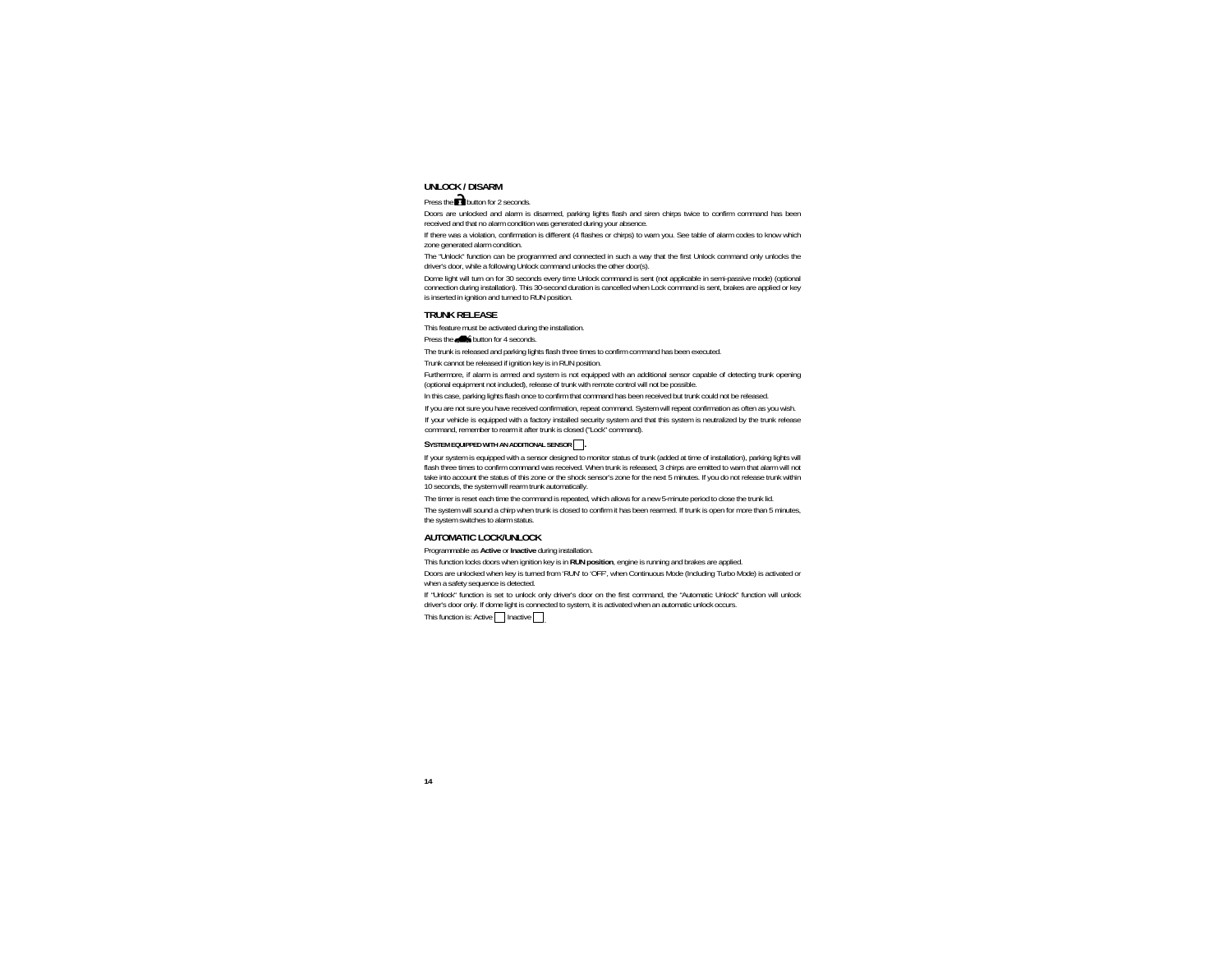## **UNLOCK / DISARM**

Press the  $\blacksquare$  button for 2 seconds.

Doors are unlocked and alarm is disarmed, parking lights flash and siren chirps twice to confirm command has been received and that no alarm condition was generated during your absence.

If there was a violation, confirmation is different (4 flashes or chirps) to warn you. See table of alarm codes to know which zone generated alarm condition.

The "Unlock" function can be programmed and connected in such a way that the first Unlock command only unlocks the driver's door, while a following Unlock command unlocks the other door(s).

Dome light will turn on for 30 seconds every time Unlock command is sent (not applicable in semi-passive mode) (optional connection during installation). This 30-second duration is cancelled when Lock command is sent, brakes are applied or key is inserted in ignition and turned to RUN position.

### **TRUNK RELEASE**

This feature must be activated during the installation.

Press the **button** for 4 seconds.

The trunk is released and parking lights flash three times to confirm command has been executed.

Trunk cannot be released if ignition key is in RUN position.

Furthermore, if alarm is armed and system is not equipped with an additional sensor capable of detecting trunk opening (optional equipment not included), release of trunk with remote control will not be possible.

In this case, parking lights flash once to confirm that command has been received but trunk could not be released.

If you are not sure you have received confirmation, repeat command. System will repeat confirmation as often as you wish. If your vehicle is equipped with a factory installed security system and that this system is neutralized by the trunk release command, remember to rearm it after trunk is closed ("Lock" command).

#### SYSTEM EQUIPPED WITH AN ADDITIONAL SENSOR

If your system is equipped with a sensor designed to monitor status of trunk (added at time of installation), parking lights will flash three times to confirm command was received. When trunk is released, 3 chirps are emitted to warn that alarm will not take into account the status of this zone or the shock sensor's zone for the next 5 minutes. If you do not release trunk within 10 seconds, the system will rearm trunk automatically.

The timer is reset each time the command is repeated, which allows for a new 5-minute period to close the trunk lid.

The system will sound a chirp when trunk is closed to confirm it has been rearmed. If trunk is open for more than 5 minutes, the system switches to alarm status.

## **AUTOMATIC LOCK/UNLOCK**

Programmable as **Active** or **Inactive** during installation.

This function locks doors when ignition key is in **RUN position**, engine is running and brakes are applied.

Doors are unlocked when key is turned from 'RUN' to 'OFF', when Continuous Mode (Including Turbo Mode) is activated or when a safety sequence is detected.

If "Unlock" function is set to unlock only driver's door on the first command, the "Automatic Unlock" function will unlock driver's door only. If dome light is connected to system, it is activated when an automatic unlock occurs.

This function is: Active  $\Box$  Inactive  $\Box$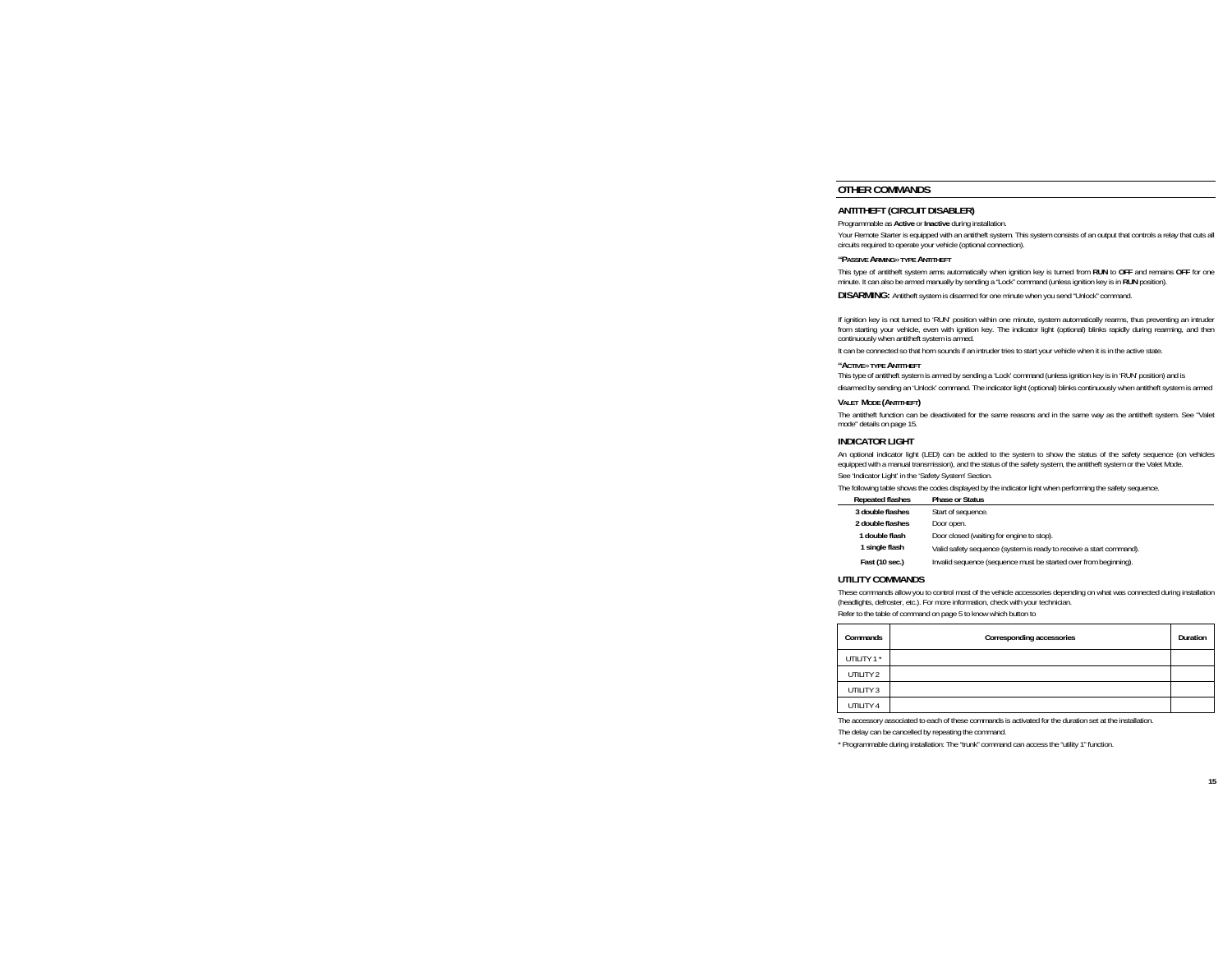## **OTHER COMMANDS**

## **ANTITHEFT (CIRCUIT DISABLER)**

Programmable as **Active** or **Inactive** during installation.

Your Remote Starter is equipped with an antitheft system. This system consists of an output that controls a relay that cuts all circuits required to operate your vehicle (optional connection).

#### **"PASSIVE ARMING**» **TYPE ANTITHEFT**

This type of antitheft system arms automatically when ignition key is turned from **RUN** to **OFF** and remains **OFF** for one minute. It can also be armed manually by sending a "Lock" command (unless ignition key is in **RUN** position).

**DISARMING:** Antitheft system is disarmed for one minute when you send "Unlock" command.

If ignition key is not turned to 'RUN' position within one minute, system automatically rearms, thus preventing an intruder from starting your vehicle, even with ignition key. The indicator light (optional) blinks rapidly during rearming, and then continuously when antitheft system is armed.

It can be connected so that horn sounds if an intruder tries to start your vehicle when it is in the active state.

#### **"ACTIVE**» **TYPE ANTITHEFT**

 This type of antitheft system is armed by sending a 'Lock' command (unless ignition key is in 'RUN' position) and is disarmed by sending an 'Unlock' command. The indicator light (optional) blinks continuously when antitheft system is armed

#### **VALET MODE (ANTITHEFT)**

The antitheft function can be deactivated for the same reasons and in the same way as the antitheft system. See "Valet mode" details on page 15.

### **INDICATOR LIGHT**

An optional indicator light (LED) can be added to the system to show the status of the safety sequence (on vehicles equipped with a manual transmission), and the status of the safety system, the antitheft system or the Valet Mode.

See 'Indicator Light' in the 'Safety System' Section.

The following table shows the codes displayed by the indicator light when performing the safety sequence.

| <b>Repeated flashes</b> | <b>Phase or Status</b>                                              |
|-------------------------|---------------------------------------------------------------------|
| 3 double flashes        | Start of sequence.                                                  |
| 2 double flashes        | Door open.                                                          |
| 1 double flash          | Door closed (waiting for engine to stop).                           |
| 1 single flash          | Valid safety sequence (system is ready to receive a start command). |
| Fast (10 sec.)          | Invalid sequence (sequence must be started over from beginning).    |

#### **UTILITY COMMANDS**

These commands allow you to control most of the vehicle accessories depending on what was connected during installation (headlights, defroster, etc.). For more information, check with your technician.

Refer to the table of command on page 5 to know which button to

| Commands   | Corresponding accessories | Duration |
|------------|---------------------------|----------|
| UTILITY 1* |                           |          |
| UTILITY 2  |                           |          |
| UTILITY 3  |                           |          |
| UTILITY 4  |                           |          |

The accessory associated to each of these commands is activated for the duration set at the installation.

The delay can be cancelled by repeating the command.

\* Programmable during installation: The "trunk" command can access the "utility 1" function.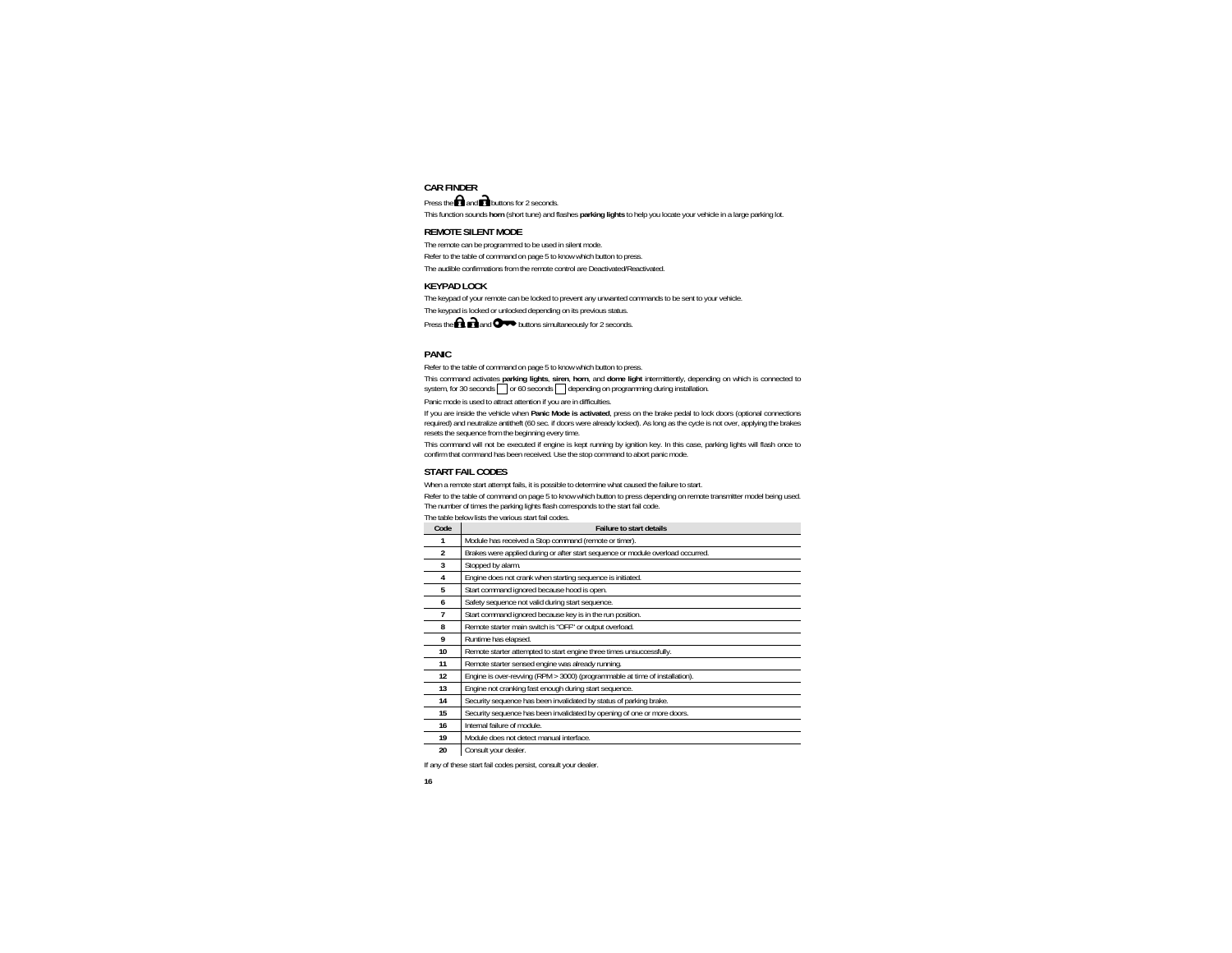## **CAR FINDER**

Press the  $\blacksquare$  and  $\blacksquare$  buttons for 2 seconds.

This function sounds **horn** (short tune) and flashes **parking lights** to help you locate your vehicle in a large parking lot.

## **REMOTE SILENT MODE**

The remote can be programmed to be used in silent mode. Refer to the table of command on page 5 to know which button to press. The audible confirmations from the remote control are Deactivated/Reactivated.

## **KEYPAD LOCK**

The keypad of your remote can be locked to prevent any unwanted commands to be sent to your vehicle.

The keypad is locked or unlocked depending on its previous status.

Press the  $\bigcap$  and  $\bigcirc$  buttons simultaneously for 2 seconds.

## **PANIC**

Refer to the table of command on page 5 to know which button to press.

This command activates **parking lights**, **siren**, **horn**, and **dome light** intermittently, depending on which is connected to system, for 30 seconds  $\Box$  or 60 seconds  $\Box$  depending on programming during installation.

Panic mode is used to attract attention if you are in difficulties.

If you are inside the vehicle when **Panic Mode is activated**, press on the brake pedal to lock doors (optional connections required) and neutralize antitheft (60 sec. if doors were already locked). As long as the cycle is not over, applying the brakes resets the sequence from the beginning every time.

This command will not be executed if engine is kept running by ignition key. In this case, parking lights will flash once to confirm that command has been received. Use the stop command to abort panic mode.

## **START FAIL CODES**

When a remote start attempt fails, it is possible to determine what caused the failure to start.

Refer to the table of command on page 5 to know which button to press depending on remote transmitter model being used. The number of times the parking lights flash corresponds to the start fail code.

The table below lists the various start fail codes.

| Code           | <b>Failure to start details</b>                                                 |
|----------------|---------------------------------------------------------------------------------|
| 1              | Module has received a Stop command (remote or timer).                           |
| $\mathfrak{p}$ | Brakes were applied during or after start sequence or module overload occurred. |
| 3              | Stopped by alarm.                                                               |
| 4              | Engine does not crank when starting sequence is initiated.                      |
| 5              | Start command ignored because hood is open.                                     |
| 6              | Safety sequence not valid during start sequence.                                |
| 7              | Start command ignored because key is in the run position.                       |
| 8              | Remote starter main switch is "OFF" or output overload.                         |
| 9              | Runtime has elapsed.                                                            |
| 10             | Remote starter attempted to start engine three times unsuccessfully.            |
| 11             | Remote starter sensed engine was already running.                               |
| 12             | Engine is over-revving (RPM > 3000) (programmable at time of installation).     |
| 13             | Engine not cranking fast enough during start sequence.                          |
| 14             | Security sequence has been invalidated by status of parking brake.              |
| 15             | Security sequence has been invalidated by opening of one or more doors.         |
| 16             | Internal failure of module.                                                     |
| 19             | Module does not detect manual interface.                                        |
| 20             | Consult your dealer.                                                            |

If any of these start fail codes persist, consult your dealer.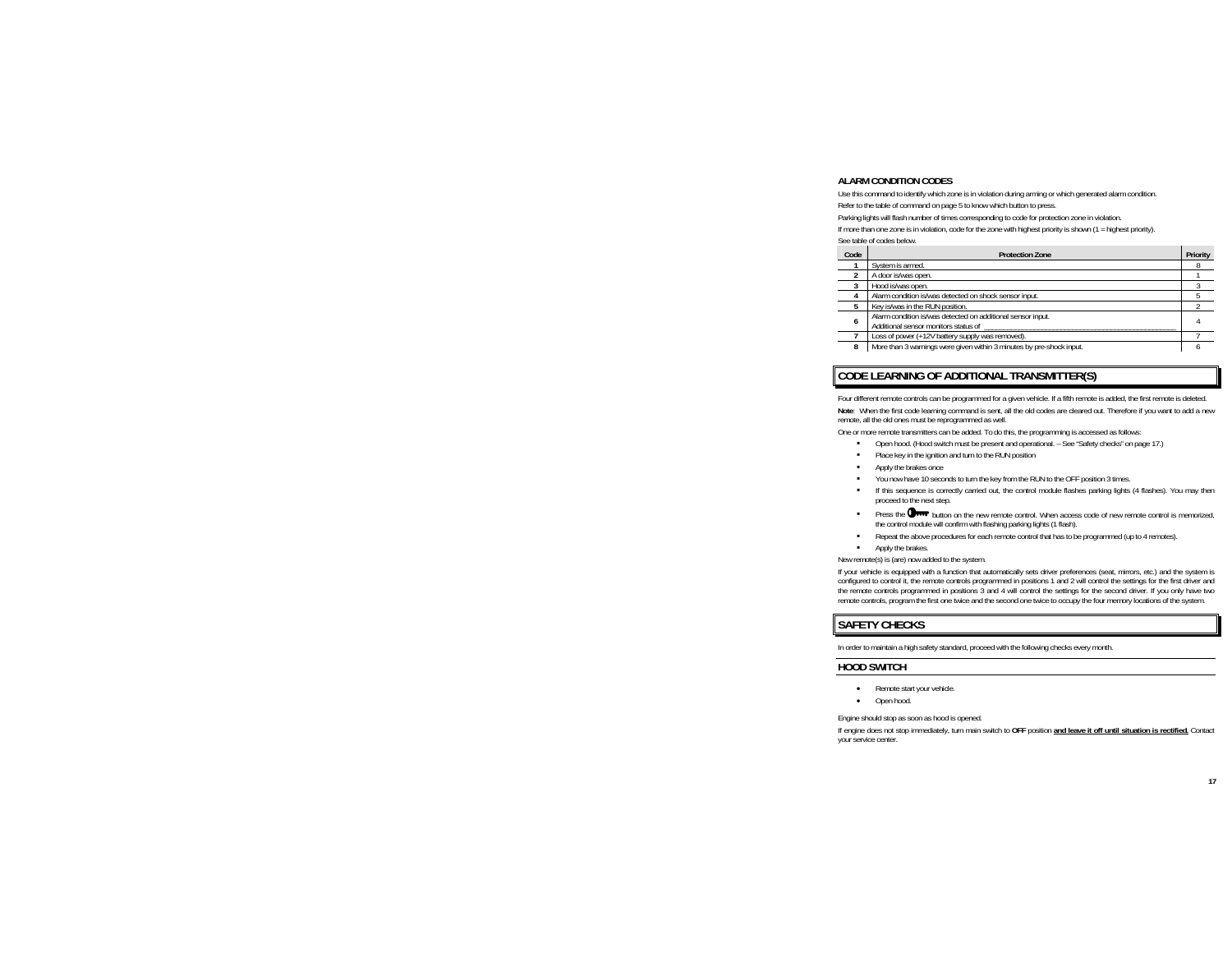## **ALARM CONDITION CODES**

Use this command to identify which zone is in violation during arming or which generated alarm condition. Refer to the table of command on page 5 to know which button to press.

Parking lights will flash number of times corresponding to code for protection zone in violation.

If more than one zone is in violation, code for the zone with highest priority is shown (1 = highest priority). See table of codes below.

| Code | <b>Protection Zone</b>                                                                              | Priority |
|------|-----------------------------------------------------------------------------------------------------|----------|
|      | System is armed.                                                                                    |          |
|      | A door is/was open.                                                                                 |          |
|      | Hood is/was open.                                                                                   |          |
|      | Alarm condition is/was detected on shock sensor input.                                              |          |
| 5    | Key is/was in the RUN position.                                                                     |          |
| 6    | Alarm condition is/was detected on additional sensor input.<br>Additional sensor monitors status of |          |
|      | Loss of power (+12V battery supply was removed).                                                    |          |
| 8    | More than 3 warnings were given within 3 minutes by pre-shock input.                                |          |

## **CODE LEARNING OF ADDITIONAL TRANSMITTER(S)**

Four different remote controls can be programmed for a given vehicle. If a fifth remote is added, the first remote is deleted. **Note**: When the first code learning command is sent, all the old codes are cleared out. Therefore if you want to add a new remote, all the old ones must be reprogrammed as well.

One or more remote transmitters can be added. To do this, the programming is accessed as follows:

- Open hood. (Hood switch must be present and operational. See "Safety checks" on page 17.)
- ٠ Place key in the ignition and turn to the RUN position
- ٠ Apply the brakes once
- You now have 10 seconds to turn the key from the RUN to the OFF position 3 times.
- If this sequence is correctly carried out, the control module flashes parking lights (4 flashes). You may then proceed to the next step.
- Press the  $\mathbb{O}_{\text{max}}$  button on the new remote control. When access code of new remote control is memorized, the control module will confirm with flashing parking lights (1 flash).
- Repeat the above procedures for each remote control that has to be programmed (up to 4 remotes).
- Apply the brakes.

New remote(s) is (are) now added to the system.

If your vehicle is equipped with a function that automatically sets driver preferences (seat, mirrors, etc.) and the system is configured to control it, the remote controls programmed in positions 1 and 2 will control the settings for the first driver and the remote controls programmed in positions 3 and 4 will control the settings for the second driver. If you only have two remote controls, program the first one twice and the second one twice to occupy the four memory locations of the system.

## **SAFETY CHECKS**

In order to maintain a high safety standard, proceed with the following checks every month.

#### **HOOD SWITCH**

- Remote start your vehicle.
- •Open hood.

Engine should stop as soon as hood is opened.

If engine does not stop immediately, turn main switch to **OFF** position **and leave it off until situation is rectified.** Contact your service center.